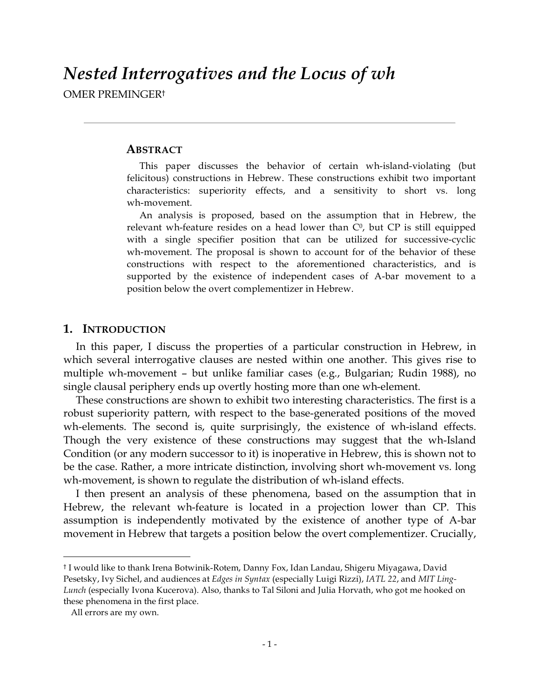OMER PREMINGER†

# **ABSTRACT**

This paper discusses the behavior of certain wh-island-violating (but felicitous) constructions in Hebrew. These constructions exhibit two important characteristics: superiority effects, and a sensitivity to short vs. long wh-movement.

An analysis is proposed, based on the assumption that in Hebrew, the relevant wh-feature resides on a head lower than  $C<sup>0</sup>$ , but CP is still equipped with a single specifier position that can be utilized for successive-cyclic wh-movement. The proposal is shown to account for of the behavior of these constructions with respect to the aforementioned characteristics, and is supported by the existence of independent cases of A-bar movement to a position below the overt complementizer in Hebrew.

# **1. INTRODUCTION**

In this paper, I discuss the properties of a particular construction in Hebrew, in which several interrogative clauses are nested within one another. This gives rise to multiple wh-movement – but unlike familiar cases (e.g., Bulgarian; Rudin 1988), no single clausal periphery ends up overtly hosting more than one wh-element.

These constructions are shown to exhibit two interesting characteristics. The first is a robust superiority pattern, with respect to the base-generated positions of the moved wh-elements. The second is, quite surprisingly, the existence of wh-island effects. Though the very existence of these constructions may suggest that the wh-Island Condition (or any modern successor to it) is inoperative in Hebrew, this is shown not to be the case. Rather, a more intricate distinction, involving short wh-movement vs. long wh-movement, is shown to regulate the distribution of wh-island effects.

I then present an analysis of these phenomena, based on the assumption that in Hebrew, the relevant wh-feature is located in a projection lower than CP. This assumption is independently motivated by the existence of another type of A-bar movement in Hebrew that targets a position below the overt complementizer. Crucially,

 <sup>†</sup> <sup>I</sup> would like to thank Irena Botwinik-Rotem, Danny Fox, Idan Landau, Shigeru Miyagawa, David Pesetsky, Ivy Sichel, and audiences at *Edges in Syntax* (especially Luigi Rizzi), *IATL 22*, and *MIT Ling-Lunch* (especially Ivona Kucerova). Also, thanks to Tal Siloni and Julia Horvath, who got me hooked on these phenomena in the first place.

All errors are my own.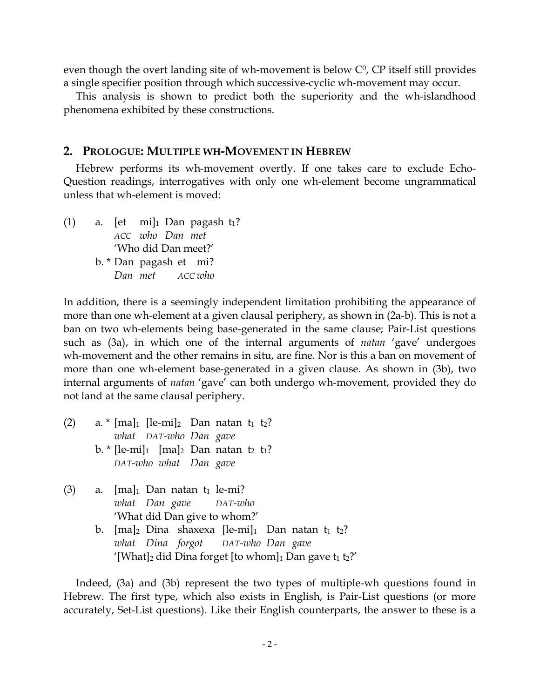even though the overt landing site of wh-movement is below  $C<sup>0</sup>$ , CP itself still provides a single specifier position through which successive-cyclic wh-movement may occur.

This analysis is shown to predict both the superiority and the wh-islandhood phenomena exhibited by these constructions.

#### **2. PROLOGUE: MULTIPLE WH-MOVEMENT IN HEBREW**

Hebrew performs its wh-movement overtly. If one takes care to exclude Echo-Question readings, interrogatives with only one wh-element become ungrammatical unless that wh-element is moved:

(1) a. [et mi]<sup>1</sup> Dan pagash  $t_1$ ? *ACC who Dan met* 'Who did Dan meet?' b. \* Dan pagash et mi? *Dan met ACC who*

In addition, there is a seemingly independent limitation prohibiting the appearance of more than one wh-element at a given clausal periphery, as shown in (2a-b). This is not a ban on two wh-elements being base-generated in the same clause; Pair-List questions such as (3a), in which one of the internal arguments of *natan* 'gave' undergoes wh-movement and the other remains in situ, are fine. Nor is this a ban on movement of more than one wh-element base-generated in a given clause. As shown in (3b), two internal arguments of *natan* 'gave' can both undergo wh-movement, provided they do not land at the same clausal periphery.

- (2) a.  $*$  [ma]<sub>1</sub> [le-mi]<sub>2</sub> Dan natan t<sub>1</sub> t<sub>2</sub>? *what DAT-who Dan gave* b.  $*[le-mi]_1$  [ma]<sub>2</sub> Dan natan t<sub>2</sub> t<sub>1</sub>? *DAT-who what Dan gave*
- (3) a.  $[ma]_1$  Dan natan  $t_1$  le-mi? *what Dan gave DAT-who* 'What did Dan give to whom?'
	- b.  $[ma]_2$  Dina shaxexa  $[1e-mi]_1$  Dan natan  $t_1$   $t_2$ ? *what Dina forgot DAT-who Dan gave* '[What]<sub>2</sub> did Dina forget [to whom]<sub>1</sub> Dan gave  $t_1 t_2$ ?'

Indeed, (3a) and (3b) represent the two types of multiple-wh questions found in Hebrew. The first type, which also exists in English, is Pair-List questions (or more accurately, Set-List questions). Like their English counterparts, the answer to these is a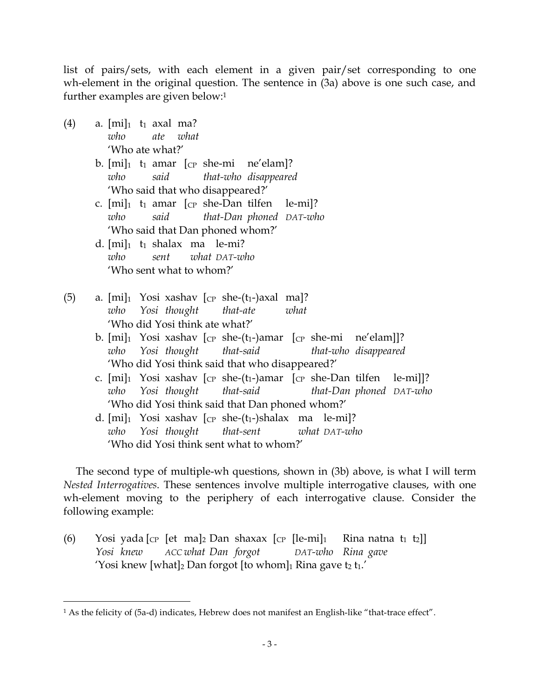list of pairs/sets, with each element in a given pair/set corresponding to one wh-element in the original question. The sentence in (3a) above is one such case, and further examples are given below: 1

- (4) a.  $[mi]_1$  t<sub>1</sub> axal ma? *who ate what* 'Who ate what?'
	- b.  $[mi]_1$  t<sub>1</sub> amar  $[CP$  she-mi ne'elam]? *who said that-who disappeared* 'Who said that who disappeared?'
	- c.  $[mi]_1$  t<sub>1</sub> amar  $[CP$  she-Dan tilfen le-mil? *who said that-Dan phoned DAT-who* 'Who said that Dan phoned whom?'
	- d.  $[mi]_1$  t<sub>1</sub> shalax ma le-mi? *who sent what DAT-who* 'Who sent what to whom?'
- (5) a.  $[mi]_1$  Yosi xashav  $[CP \text{ she-(}t_1-\text{)axal} \text{ ma}]$ ? *who Yosi thought that-ate what* 'Who did Yosi think ate what?'
	- b.  $[mi]_1$  Yosi xashav  $[CP \text{ she-(t1-)amar} \quad [CP \text{ she-mi} \quad \text{ne/elam}]]$ ? *who Yosi thought that-said that-who disappeared* 'Who did Yosi think said that who disappeared?'
	- c.  $[mi]_1$  Yosi xashav  $[CP$  she- $(t_1$ -)amar  $[CP]$  she-Dan tilfen le-mi]]? *who Yosi thought that-said that-Dan phoned DAT-who* 'Who did Yosi think said that Dan phoned whom?'
	- d.  $[mi]_1$  Yosi xashav  $[cp \; she-(t_1-)shalax \; ma \; le-mi]$ ? *who Yosi thought that-sent what DAT-who* 'Who did Yosi think sent what to whom?'

The second type of multiple-wh questions, shown in (3b) above, is what I will term *Nested Interrogatives*. These sentences involve multiple interrogative clauses, with one wh-element moving to the periphery of each interrogative clause. Consider the following example:

(6) Yosi yada  $\lbrack \mathbf{c}_P \rbrack$  et ma $\lbrack_2$  Dan shaxax  $\lbrack \mathbf{c}_P \rbrack$  le-mi $\lbrack_1 \rbrack$  Rina natna  $\mathbf{t}_1$   $\mathbf{t}_2$ ) *Yosi knew ACC what Dan forgot DAT-who Rina gave* 'Yosi knew [what]<sub>2</sub> Dan forgot [to whom]<sub>1</sub> Rina gave t<sub>2</sub> t<sub>1</sub>.'

 <sup>1</sup> As the felicity of (5a-d) indicates, Hebrew does not manifest an English-like "that-trace effect".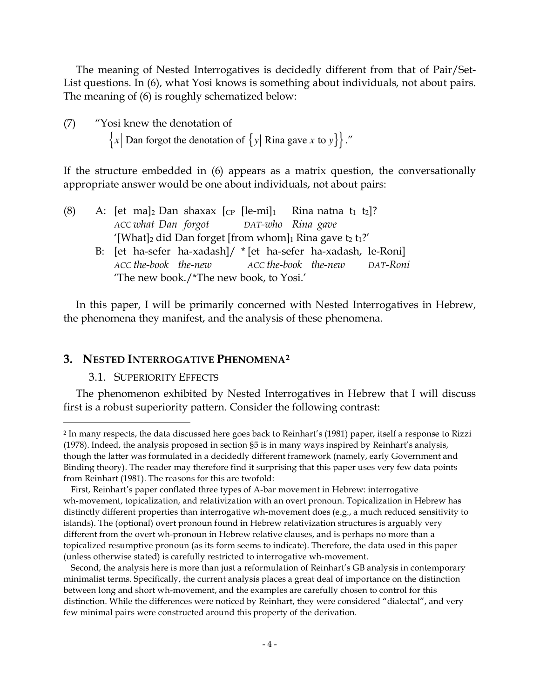The meaning of Nested Interrogatives is decidedly different from that of Pair/Set-List questions. In (6), what Yosi knows is something about individuals, not about pairs. The meaning of (6) is roughly schematized below:

(7) "Yosi knew the denotation of  ${x \mid$  Dan forgot the denotation of  ${y \mid$  Rina gave *x* to *y* $}$ ."

'The new book./\*The new book, to Yosi.'

the phenomena they manifest, and the analysis of these phenomena.

If the structure embedded in (6) appears as a matrix question, the conversationally appropriate answer would be one about individuals, not about pairs:

| (8) |                                                                                     |  |  | A: [et ma] <sub>2</sub> Dan shaxax $[CP]$ [le-mi] <sub>1</sub> Rina natna t <sub>1</sub> t <sub>2</sub> ]? |  |  |  |  |
|-----|-------------------------------------------------------------------------------------|--|--|------------------------------------------------------------------------------------------------------------|--|--|--|--|
|     | ACC what Dan forgot DAT-who Rina gave                                               |  |  |                                                                                                            |  |  |  |  |
|     | '[What] <sub>2</sub> did Dan forget [from whom] <sub>1</sub> Rina gave $t_2 t_1$ ?' |  |  |                                                                                                            |  |  |  |  |
|     |                                                                                     |  |  | B: [et ha-sefer ha-xadash]/ * [et ha-sefer ha-xadash, le-Roni]                                             |  |  |  |  |
|     | ACC the-book the-new                                                                |  |  | ACC the-book the-new DAT-Roni                                                                              |  |  |  |  |

In this paper, I will be primarily concerned with Nested Interrogatives in Hebrew,

# **3. NESTED INTERROGATIVE PHENOMENA2**

#### 3.1. SUPERIORITY EFFECTS

The phenomenon exhibited by Nested Interrogatives in Hebrew that I will discuss first is a robust superiority pattern. Consider the following contrast:

 <sup>2</sup> In many respects, the data discussed here goes back to Reinhart's (1981) paper, itself <sup>a</sup> response to Rizzi (1978). Indeed, the analysis proposed in section §5 is in many ways inspired by Reinhart's analysis, though the latter was formulated in a decidedly different framework (namely, early Government and Binding theory). The reader may therefore find it surprising that this paper uses very few data points from Reinhart (1981). The reasons for this are twofold:

First, Reinhart's paper conflated three types of A-bar movement in Hebrew: interrogative wh-movement, topicalization, and relativization with an overt pronoun. Topicalization in Hebrew has distinctly different properties than interrogative wh-movement does (e.g., a much reduced sensitivity to islands). The (optional) overt pronoun found in Hebrew relativization structures is arguably very different from the overt wh-pronoun in Hebrew relative clauses, and is perhaps no more than a topicalized resumptive pronoun (as its form seems to indicate). Therefore, the data used in this paper (unless otherwise stated) is carefully restricted to interrogative wh-movement.

Second, the analysis here is more than just a reformulation of Reinhart's GB analysis in contemporary minimalist terms. Specifically, the current analysis places a great deal of importance on the distinction between long and short wh-movement, and the examples are carefully chosen to control for this distinction. While the differences were noticed by Reinhart, they were considered "dialectal", and very few minimal pairs were constructed around this property of the derivation.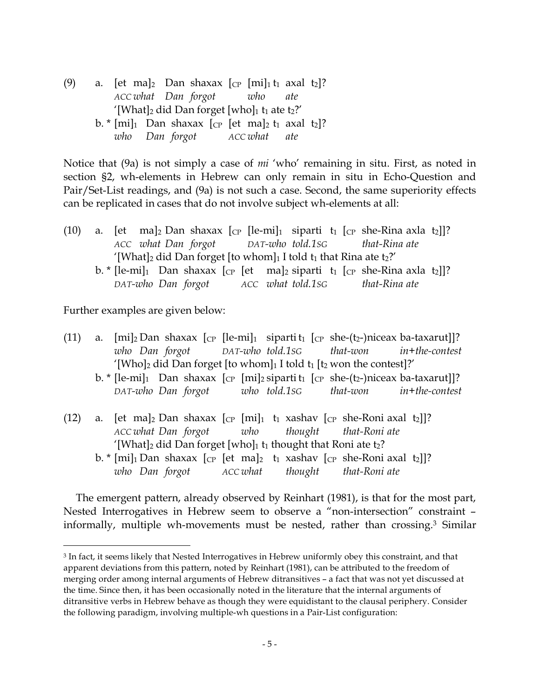(9) a. [et ma]<sub>2</sub> Dan shaxax  $[CP [mi]_1 t_1$  axal t<sub>2</sub>]? *ACC what Dan forgot who ate* '[What]<sub>2</sub> did Dan forget [who]<sub>1</sub> t<sub>1</sub> ate t<sub>2</sub>?' b.  $\text{*}$  [mi]<sub>1</sub> Dan shaxax [cp [et ma]<sub>2</sub> t<sub>1</sub> axal t<sub>2</sub>]? *who Dan forgot ACC what ate*

Notice that (9a) is not simply a case of *mi* 'who' remaining in situ. First, as noted in section §2, wh-elements in Hebrew can only remain in situ in Echo-Question and Pair/Set-List readings, and (9a) is not such a case. Second, the same superiority effects can be replicated in cases that do not involve subject wh-elements at all:

|                                                                                                |  |  |  |  |  |  |  | (10) a. [et ma] <sub>2</sub> Dan shaxax [cp [le-mi] <sub>1</sub> siparti t <sub>1</sub> [cp she-Rina axla t <sub>2</sub> ]]? |  |
|------------------------------------------------------------------------------------------------|--|--|--|--|--|--|--|------------------------------------------------------------------------------------------------------------------------------|--|
|                                                                                                |  |  |  |  |  |  |  | ACC what Dan forgot DAT-who told.1sG that-Rina ate                                                                           |  |
| '[What] <sub>2</sub> did Dan forget [to whom] <sub>1</sub> I told $t_1$ that Rina ate $t_2$ ?' |  |  |  |  |  |  |  |                                                                                                                              |  |
|                                                                                                |  |  |  |  |  |  |  | b. * [le-mi] <sup>1</sup> Dan shaxax [cp [et ma] <sup>2</sup> siparti t <sub>1</sub> [cp she-Rina axla t <sub>2</sub> ]]?    |  |
|                                                                                                |  |  |  |  |  |  |  | DAT-who Dan forgot ACC what told.1sG that-Rina ate                                                                           |  |

Further examples are given below:

| (11) |                                                                           |  |  |  |  |  |  |  |                                                                                                                                                                           | a. $[mi]_2$ Dan shaxax $[CP$ $[1e-mi]_1$ sipartit <sub>1</sub> $[CP$ she- $(t_2)$ niceax ba-taxarut]?                            |  |
|------|---------------------------------------------------------------------------|--|--|--|--|--|--|--|---------------------------------------------------------------------------------------------------------------------------------------------------------------------------|----------------------------------------------------------------------------------------------------------------------------------|--|
|      |                                                                           |  |  |  |  |  |  |  |                                                                                                                                                                           | who Dan forgot DAT-who told.1sG that-won in+the-contest                                                                          |  |
|      | '[Who]2 did Dan forget [to whom]1 I told $t_1$ [ $t_2$ won the contest]?' |  |  |  |  |  |  |  |                                                                                                                                                                           |                                                                                                                                  |  |
|      |                                                                           |  |  |  |  |  |  |  |                                                                                                                                                                           | b. * [le-mi] <sup>1</sup> Dan shaxax [cp [mi] <sup>2</sup> siparti t <sub>1</sub> [cp she-(t <sub>2</sub> -)niceax ba-taxarut]]? |  |
|      |                                                                           |  |  |  |  |  |  |  |                                                                                                                                                                           | DAT-who Dan forgot who told.1sG that-won in+the-contest                                                                          |  |
|      |                                                                           |  |  |  |  |  |  |  | (12) a. [et ma] <sub>2</sub> Dan shaxax [cp [mi] <sub>1</sub> t <sub>1</sub> xashav [cp she-Roni axal t <sub>2</sub> ]]?<br>ACC what Dan forgot who thought that-Roni ate |                                                                                                                                  |  |
|      |                                                                           |  |  |  |  |  |  |  | '[What]2 did Dan forget [who]1 t1 thought that Roni ate t2?                                                                                                               |                                                                                                                                  |  |

b.  $\star$  [mi]<sub>1</sub> Dan shaxax [cp [et ma]<sub>2</sub> t<sub>1</sub> xashav [cp she-Roni axal t<sub>2</sub>]]? *who Dan forgot ACC what thought that-Roni ate*

The emergent pattern, already observed by Reinhart (1981), is that for the most part, Nested Interrogatives in Hebrew seem to observe a "non-intersection" constraint – informally, multiple wh-movements must be nested, rather than crossing.3 Similar

 <sup>3</sup> In fact, it seems likely that Nested Interrogatives in Hebrew uniformly obey this constraint, and that apparent deviations from this pattern, noted by Reinhart (1981), can be attributed to the freedom of merging order among internal arguments of Hebrew ditransitives – a fact that was not yet discussed at the time. Since then, it has been occasionally noted in the literature that the internal arguments of ditransitive verbs in Hebrew behave as though they were equidistant to the clausal periphery. Consider the following paradigm, involving multiple-wh questions in a Pair-List configuration: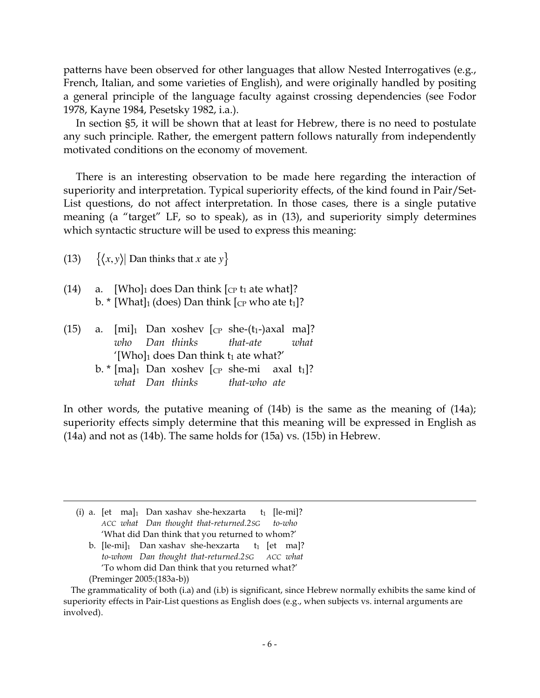patterns have been observed for other languages that allow Nested Interrogatives (e.g., French, Italian, and some varieties of English), and were originally handled by positing a general principle of the language faculty against crossing dependencies (see Fodor 1978, Kayne 1984, Pesetsky 1982, i.a.).

In section §5, it will be shown that at least for Hebrew, there is no need to postulate any such principle. Rather, the emergent pattern follows naturally from independently motivated conditions on the economy of movement.

There is an interesting observation to be made here regarding the interaction of superiority and interpretation. Typical superiority effects, of the kind found in Pair/Set-List questions, do not affect interpretation. In those cases, there is a single putative meaning (a "target" LF, so to speak), as in (13), and superiority simply determines which syntactic structure will be used to express this meaning:

(13)  $\{\langle x, y \rangle\}$  Dan thinks that *x* ate *y*}

(14) a.  $[Who]_1$  does Dan think  $[cp t_1]$  ate what |? b. \* [What] $_1$  (does) Dan think  $[$ ce who ate  $t_1$ ]?

|                                                        |  |  |  |  |  | (15) a. $[mi]_1$ Dan xoshev $[CP \text{ she-(}t_1-\text{)axal} \text{ ma}]$ ?   |  |  |
|--------------------------------------------------------|--|--|--|--|--|---------------------------------------------------------------------------------|--|--|
|                                                        |  |  |  |  |  | who Dan thinks that-ate what                                                    |  |  |
| $'$ [Who] <sub>1</sub> does Dan think $t_1$ ate what?' |  |  |  |  |  |                                                                                 |  |  |
|                                                        |  |  |  |  |  | b. $\frac{1}{2}$ [ma] <sub>1</sub> Dan xoshev [cp she-mi axal t <sub>1</sub> ]? |  |  |

*what Dan thinks that-who ate*

In other words, the putative meaning of (14b) is the same as the meaning of (14a); superiority effects simply determine that this meaning will be expressed in English as (14a) and not as (14b). The same holds for (15a) vs. (15b) in Hebrew.

(i) a. [et ma]<sup>1</sup> Dan xashav she-hexzarta t<sub>1</sub> [le-mi]? *ACC what Dan thought that-returned.2SG to-who* 'What did Dan think that you returned to whom?'

 $\overline{a}$ 

b.  $\left[$ le-mi $\right]_1$  Dan xashav she-hexzarta t<sub>1</sub>  $\left[$ et ma $\right]$ ? *to-whom Dan thought that-returned.2SG ACC what* 'To whom did Dan think that you returned what?' (Preminger 2005:(183a-b))

The grammaticality of both (i.a) and (i.b) is significant, since Hebrew normally exhibits the same kind of superiority effects in Pair-List questions as English does (e.g., when subjects vs. internal arguments are involved).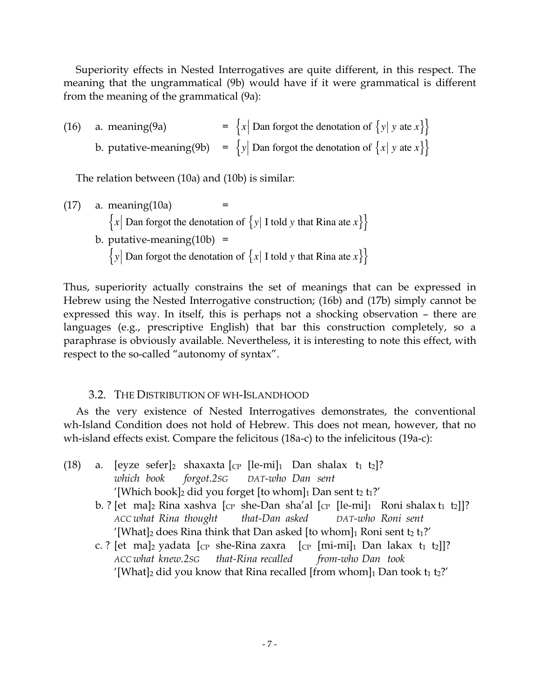Superiority effects in Nested Interrogatives are quite different, in this respect. The meaning that the ungrammatical (9b) would have if it were grammatical is different from the meaning of the grammatical (9a):

(16) a. meaning(9a) = 
$$
\{x \mid \text{Dan forgot the denotation of } \{y \mid y \text{ at } x\} \}
$$
  
b. putative-meaning(9b) =  $\{y \mid \text{Dan forgot the denotation of } \{x \mid y \text{ at } x\} \}$ 

The relation between (10a) and (10b) is similar:

 $(17)$  a. meaning $(10a)$  ${x \mid$  Dan forgot the denotation of  ${y \mid I}$  told *y* that Rina ate *x* $}$ b. putative-meaning $(10b)$  =  $\{y \}$  Dan forgot the denotation of  $\{x \}$  I told *y* that Rina ate  $x\}$ 

Thus, superiority actually constrains the set of meanings that can be expressed in Hebrew using the Nested Interrogative construction; (16b) and (17b) simply cannot be expressed this way. In itself, this is perhaps not a shocking observation – there are languages (e.g., prescriptive English) that bar this construction completely, so a paraphrase is obviously available. Nevertheless, it is interesting to note this effect, with respect to the so-called "autonomy of syntax".

# 3.2. THE DISTRIBUTION OF WH-ISLANDHOOD

As the very existence of Nested Interrogatives demonstrates, the conventional wh-Island Condition does not hold of Hebrew. This does not mean, however, that no wh-island effects exist. Compare the felicitous (18a-c) to the infelicitous (19a-c):

- (18) a. [eyze sefer]<sub>2</sub> shaxaxta [cp [le-mi]<sub>1</sub> Dan shalax t<sub>1</sub> t<sub>2</sub>]? *which book forgot.2SG DAT-who Dan sent* '[Which book]<sub>2</sub> did you forget [to whom]<sub>1</sub> Dan sent t<sub>2</sub> t<sub>1</sub>?'
	- b. ? [et ma]<sub>2</sub> Rina xashva [<sub>CP</sub> she-Dan sha'al [<sub>CP</sub> [le-mi]<sub>1</sub> Roni shalax t<sub>1</sub> t<sub>2</sub>]]? *ACC what Rina thought that-Dan asked DAT-who Roni sent* '[What]<sub>2</sub> does Rina think that Dan asked [to whom]<sub>1</sub> Roni sent t<sub>2</sub> t<sub>1</sub>?'
	- c. ? [et ma]<sub>2</sub> yadata [cp she-Rina zaxra [cp [mi-mi]<sub>1</sub> Dan lakax t<sub>1</sub> t<sub>2</sub>]]? *ACC what knew.2SG that-Rina recalled from-who Dan took* '[What]<sub>2</sub> did you know that Rina recalled [from whom]<sub>1</sub> Dan took  $t_1 t_2$ ?'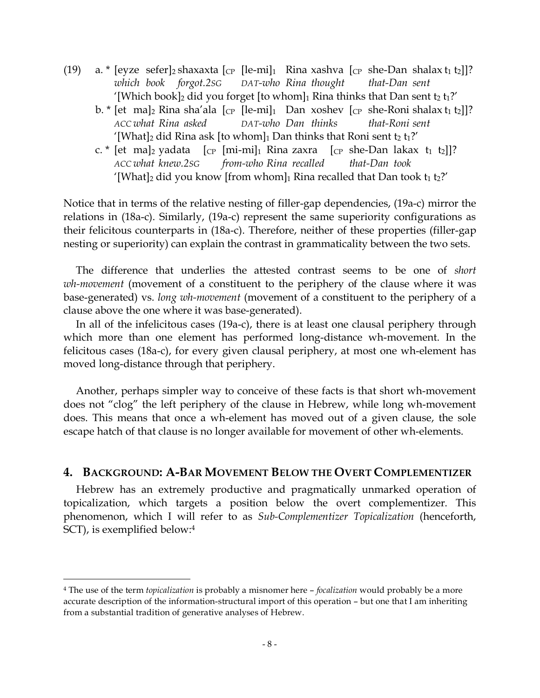- (19) a. \* [eyze sefer]<sub>2</sub> shaxaxta [<sub>CP</sub> [le-mi]<sub>1</sub> Rina xashva [<sub>CP</sub> she-Dan shalax t<sub>1</sub> t<sub>2</sub>]]? *which book forgot.2SG DAT-who Rina thought that-Dan sent* '[Which book]<sub>2</sub> did you forget [to whom]<sub>1</sub> Rina thinks that Dan sent t<sub>2</sub> t<sub>1</sub>?'
	- b. \* [et ma]<sub>2</sub> Rina sha'ala  $\lceil c_p \rceil$ [le-mi]<sub>1</sub> Dan xoshev  $\lceil c_p \rceil$  she-Roni shalax t<sub>1</sub> t<sub>2</sub>]]? *ACC what Rina asked DAT-who Dan thinks that-Roni sent* '[What]<sub>2</sub> did Rina ask [to whom]<sub>1</sub> Dan thinks that Roni sent  $t_2 t_1$ ?'
	- c. \* [et ma]<sub>2</sub> yadata  $[CP [mi-mi]_1$  Rina zaxra  $[CP]$  she-Dan lakax t<sub>1</sub> t<sub>2</sub>]]? *ACC what knew.2SG from-who Rina recalled that-Dan took* '[What]<sub>2</sub> did you know [from whom]<sub>1</sub> Rina recalled that Dan took  $t_1 t_2$ ?'

Notice that in terms of the relative nesting of filler-gap dependencies, (19a-c) mirror the relations in (18a-c). Similarly, (19a-c) represent the same superiority configurations as their felicitous counterparts in (18a-c). Therefore, neither of these properties (filler-gap nesting or superiority) can explain the contrast in grammaticality between the two sets.

The difference that underlies the attested contrast seems to be one of *short wh-movement* (movement of a constituent to the periphery of the clause where it was base-generated) vs. *long wh-movement* (movement of a constituent to the periphery of a clause above the one where it was base-generated).

In all of the infelicitous cases (19a-c), there is at least one clausal periphery through which more than one element has performed long-distance wh-movement. In the felicitous cases (18a-c), for every given clausal periphery, at most one wh-element has moved long-distance through that periphery.

Another, perhaps simpler way to conceive of these facts is that short wh-movement does not "clog" the left periphery of the clause in Hebrew, while long wh-movement does. This means that once a wh-element has moved out of a given clause, the sole escape hatch of that clause is no longer available for movement of other wh-elements.

### **4. BACKGROUND: A-BAR MOVEMENT BELOW THE OVERT COMPLEMENTIZER**

Hebrew has an extremely productive and pragmatically unmarked operation of topicalization, which targets a position below the overt complementizer. This phenomenon, which I will refer to as *Sub-Complementizer Topicalization* (henceforth, SCT), is exemplified below: 4

 <sup>4</sup> The use of the term *topicalization* is probably <sup>a</sup> misnomer here – *focalization* would probably be <sup>a</sup> more accurate description of the information-structural import of this operation – but one that I am inheriting from a substantial tradition of generative analyses of Hebrew.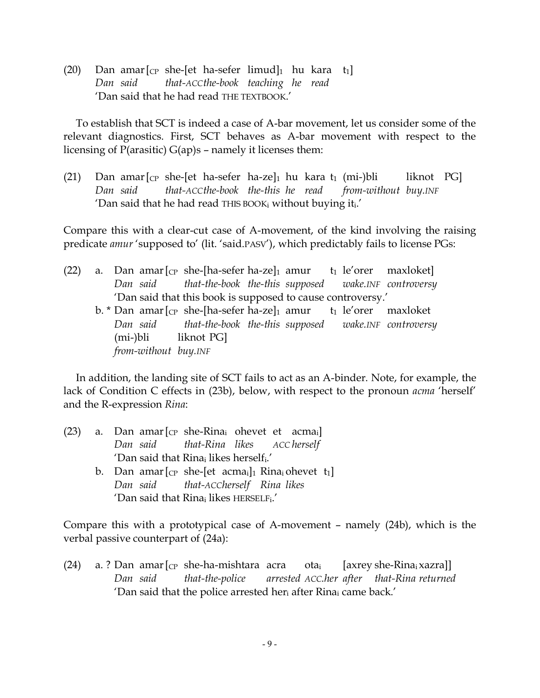(20) Dan amar $[CP \text{ she-[et ha-sefer limited}]_1$  hu kara t<sub>1</sub>] *Dan said that-ACCthe-book teaching he read* 'Dan said that he had read THE TEXTBOOK.'

To establish that SCT is indeed a case of A-bar movement, let us consider some of the relevant diagnostics. First, SCT behaves as A-bar movement with respect to the licensing of P(arasitic) G(ap)s – namely it licenses them:

(21) Dan amar $\lbrack_{CP}$  she-[et ha-sefer ha-ze]<sub>1</sub> hu kara t<sub>1</sub> (mi-)bli liknot PG] *Dan said that-ACCthe-book the-this he read from-without buy.INF* 'Dan said that he had read THIS BOOKi without buying iti.'

Compare this with a clear-cut case of A-movement, of the kind involving the raising predicate *amur* 'supposed to' (lit. 'said.PASV'), which predictably fails to license PGs:

| (22) |                    |                      | a. Dan amar $\lbrack_{CP}$ she-[ha-sefer ha-ze] <sub>1</sub> amur t <sub>1</sub> le'orer maxloket]       |  |  |  |  |
|------|--------------------|----------------------|----------------------------------------------------------------------------------------------------------|--|--|--|--|
|      |                    |                      | Dan said that-the-book the-this supposed wake.INF controversy                                            |  |  |  |  |
|      |                    |                      | 'Dan said that this book is supposed to cause controversy.'                                              |  |  |  |  |
|      |                    |                      | b. * Dan amar $\lceil_{CP}$ she- $\lceil$ ha-sefer ha-ze $\lceil_1$ amur t <sub>1</sub> le'orer maxloket |  |  |  |  |
|      |                    |                      | Dan said that-the-book the-this supposed wake.INF controversy                                            |  |  |  |  |
|      | (mi-)bli liknot PG |                      |                                                                                                          |  |  |  |  |
|      |                    | from-without buy.INF |                                                                                                          |  |  |  |  |

In addition, the landing site of SCT fails to act as an A-binder. Note, for example, the lack of Condition C effects in (23b), below, with respect to the pronoun *acma* 'herself' and the R-expression *Rina*:

|  | (23) a. Dan amar $[CP$ she-Rina <sub>i</sub> ohevet et acma <sub>i</sub> ]          |  |
|--|-------------------------------------------------------------------------------------|--|
|  | Dan said that-Rina likes ACC herself                                                |  |
|  | 'Dan said that Rina; likes herself <sub>i</sub> .'                                  |  |
|  | b. Dan amar $[CP \text{ she-[et }acma_i]_1$ Rina <sub>i</sub> ohevet t <sub>1</sub> |  |
|  | Dan said that-ACCherself Rina likes                                                 |  |
|  | 'Dan said that Rina; likes HERSELF;.'                                               |  |

Compare this with a prototypical case of A-movement – namely (24b), which is the verbal passive counterpart of (24a):

(24) a. ? Dan amar  $\lbrack_{\rm CP}$  she-ha-mishtara acra ota<sub>i</sub> [axrey she-Rina<sub>i</sub> xazra]] *Dan said that-the-police arrested ACC.her after that-Rina returned* 'Dan said that the police arrested her<sub>i</sub> after Rina<sub>i</sub> came back.'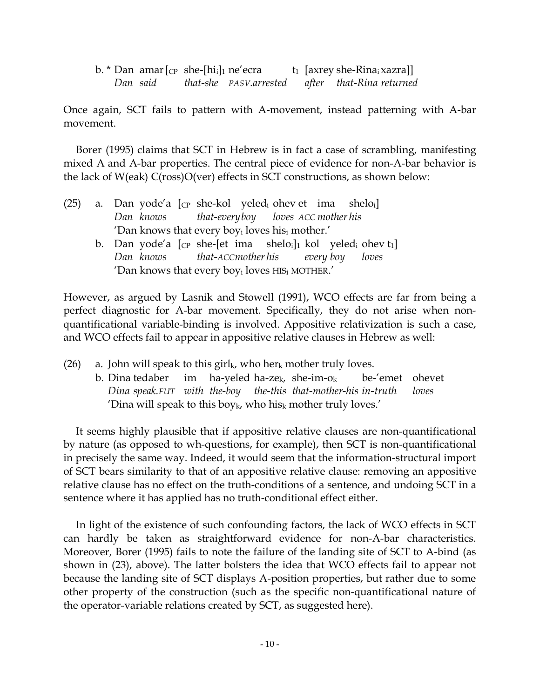b. \* Dan amar  $\lbrack_{\text{CP}}$  she- $\lbrack$ hi<sub>i</sub>]<sub>1</sub> ne'ecra t<sub>1</sub> [axrey she-Rina<sub>i</sub> xazra]] *Dan said that-she PASV.arrested after that-Rina returned*

Once again, SCT fails to pattern with A-movement, instead patterning with A-bar movement.

Borer (1995) claims that SCT in Hebrew is in fact a case of scrambling, manifesting mixed A and A-bar properties. The central piece of evidence for non-A-bar behavior is the lack of W(eak) C(ross)O(ver) effects in SCT constructions, as shown below:

- (25) a. Dan yode'a  $[\text{CP}$  she-kol yeled<sub>i</sub> ohev et ima sheloil *Dan knows that-everyboy loves ACC mother his* 'Dan knows that every boyi loves hisi mother.'
	- b. Dan yode'a  $[\text{CP}$  she-[et ima shelo<sub>i</sub>]<sub>1</sub> kol yeled<sub>i</sub> ohev t<sub>1</sub>] *Dan knows that-ACCmother his every boy loves* 'Dan knows that every boyi loves HISi MOTHER.'

However, as argued by Lasnik and Stowell (1991), WCO effects are far from being a perfect diagnostic for A-bar movement. Specifically, they do not arise when nonquantificational variable-binding is involved. Appositive relativization is such a case, and WCO effects fail to appear in appositive relative clauses in Hebrew as well:

(26) a. John will speak to this girl<sub>k</sub>, who her<sub>k</sub> mother truly loves.

b. Dina tedaber im ha-yeled ha-ze<sub>k</sub>, she-im-o<sub>k</sub> be-'emet ohevet *Dina speak.FUT with the-boy the-this that-mother-his in-truth loves* 'Dina will speak to this boy $_k$ , who his mother truly loves.'

It seems highly plausible that if appositive relative clauses are non-quantificational by nature (as opposed to wh-questions, for example), then SCT is non-quantificational in precisely the same way. Indeed, it would seem that the information-structural import of SCT bears similarity to that of an appositive relative clause: removing an appositive relative clause has no effect on the truth-conditions of a sentence, and undoing SCT in a sentence where it has applied has no truth-conditional effect either.

In light of the existence of such confounding factors, the lack of WCO effects in SCT can hardly be taken as straightforward evidence for non-A-bar characteristics. Moreover, Borer (1995) fails to note the failure of the landing site of SCT to A-bind (as shown in (23), above). The latter bolsters the idea that WCO effects fail to appear not because the landing site of SCT displays A-position properties, but rather due to some other property of the construction (such as the specific non-quantificational nature of the operator-variable relations created by SCT, as suggested here).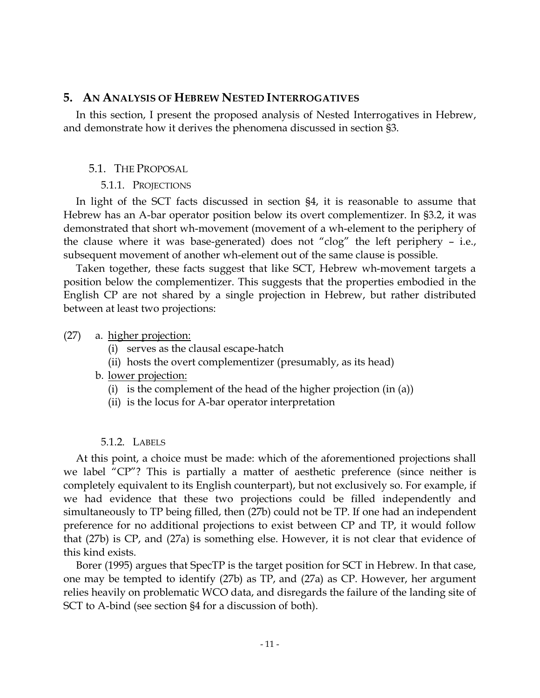# **5. AN ANALYSIS OF HEBREW NESTED INTERROGATIVES**

In this section, I present the proposed analysis of Nested Interrogatives in Hebrew, and demonstrate how it derives the phenomena discussed in section §3.

### 5.1. THE PROPOSAL

### 5.1.1. PROJECTIONS

In light of the SCT facts discussed in section §4, it is reasonable to assume that Hebrew has an A-bar operator position below its overt complementizer. In §3.2, it was demonstrated that short wh-movement (movement of a wh-element to the periphery of the clause where it was base-generated) does not "clog" the left periphery – i.e., subsequent movement of another wh-element out of the same clause is possible.

Taken together, these facts suggest that like SCT, Hebrew wh-movement targets a position below the complementizer. This suggests that the properties embodied in the English CP are not shared by a single projection in Hebrew, but rather distributed between at least two projections:

### (27) a. higher projection:

- (i) serves as the clausal escape-hatch
- (ii) hosts the overt complementizer (presumably, as its head)
- b. lower projection:
	- (i) is the complement of the head of the higher projection (in (a))
	- (ii) is the locus for A-bar operator interpretation

# 5.1.2. LABELS

At this point, a choice must be made: which of the aforementioned projections shall we label "CP"? This is partially a matter of aesthetic preference (since neither is completely equivalent to its English counterpart), but not exclusively so. For example, if we had evidence that these two projections could be filled independently and simultaneously to TP being filled, then (27b) could not be TP. If one had an independent preference for no additional projections to exist between CP and TP, it would follow that (27b) is CP, and (27a) is something else. However, it is not clear that evidence of this kind exists.

Borer (1995) argues that SpecTP is the target position for SCT in Hebrew. In that case, one may be tempted to identify (27b) as TP, and (27a) as CP. However, her argument relies heavily on problematic WCO data, and disregards the failure of the landing site of SCT to A-bind (see section §4 for a discussion of both).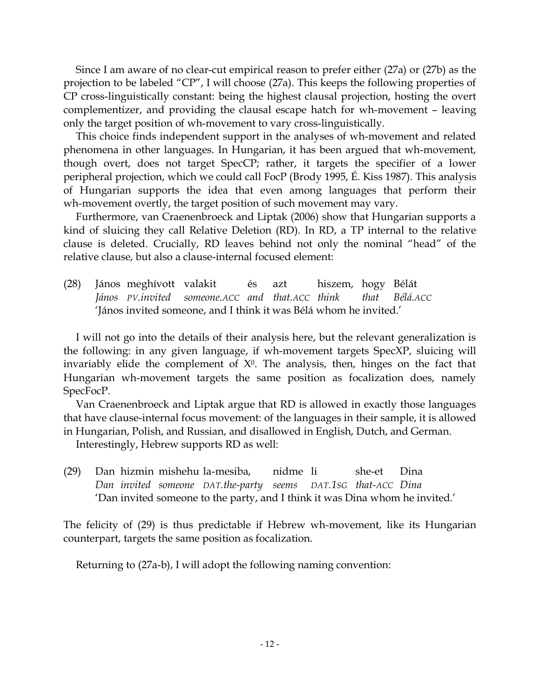Since I am aware of no clear-cut empirical reason to prefer either (27a) or (27b) as the projection to be labeled "CP", I will choose (27a). This keeps the following properties of CP cross-linguistically constant: being the highest clausal projection, hosting the overt complementizer, and providing the clausal escape hatch for wh-movement – leaving only the target position of wh-movement to vary cross-linguistically.

This choice finds independent support in the analyses of wh-movement and related phenomena in other languages. In Hungarian, it has been argued that wh-movement, though overt, does not target SpecCP; rather, it targets the specifier of a lower peripheral projection, which we could call FocP (Brody 1995, É. Kiss 1987). This analysis of Hungarian supports the idea that even among languages that perform their wh-movement overtly, the target position of such movement may vary.

Furthermore, van Craenenbroeck and Liptak (2006) show that Hungarian supports a kind of sluicing they call Relative Deletion (RD). In RD, a TP internal to the relative clause is deleted. Crucially, RD leaves behind not only the nominal "head" of the relative clause, but also a clause-internal focused element:

(28) János meghívott valakit és azt hiszem, hogy Bélát *János PV.invited someone.ACC and that.ACC think that Bélá.ACC* 'János invited someone, and I think it was Bélá whom he invited.'

I will not go into the details of their analysis here, but the relevant generalization is the following: in any given language, if wh-movement targets SpecXP, sluicing will invariably elide the complement of  $X^0$ . The analysis, then, hinges on the fact that Hungarian wh-movement targets the same position as focalization does, namely SpecFocP.

Van Craenenbroeck and Liptak argue that RD is allowed in exactly those languages that have clause-internal focus movement: of the languages in their sample, it is allowed in Hungarian, Polish, and Russian, and disallowed in English, Dutch, and German.

Interestingly, Hebrew supports RD as well:

(29) Dan hizmin mishehu la-mesiba, nidme li she-et Dina *Dan invited someone DAT.the-party seems DAT.1SG that-ACC Dina* 'Dan invited someone to the party, and I think it was Dina whom he invited.'

The felicity of (29) is thus predictable if Hebrew wh-movement, like its Hungarian counterpart, targets the same position as focalization.

Returning to (27a-b), I will adopt the following naming convention: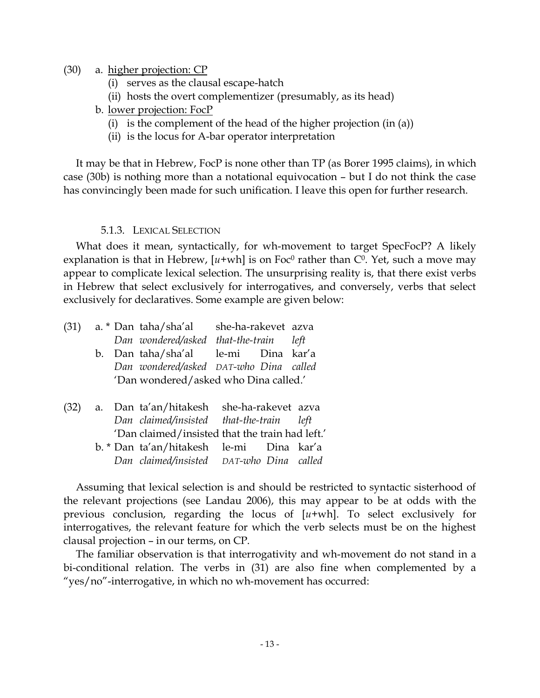- (30) a. higher projection: CP
	- (i) serves as the clausal escape-hatch
	- (ii) hosts the overt complementizer (presumably, as its head)
	- b. lower projection: FocP
		- (i) is the complement of the head of the higher projection (in (a))
		- (ii) is the locus for A-bar operator interpretation

It may be that in Hebrew, FocP is none other than TP (as Borer 1995 claims), in which case (30b) is nothing more than a notational equivocation – but I do not think the case has convincingly been made for such unification. I leave this open for further research.

### 5.1.3. LEXICAL SELECTION

What does it mean, syntactically, for wh-movement to target SpecFocP? A likely explanation is that in Hebrew,  $[u+wh]$  is on Foc<sup>0</sup> rather than  $C^0$ . Yet, such a move may appear to complicate lexical selection. The unsurprising reality is, that there exist verbs in Hebrew that select exclusively for interrogatives, and conversely, verbs that select exclusively for declaratives. Some example are given below:

| (31) |  | a. * Dan taha/sha'al she-ha-rakevet azva        |  |  |
|------|--|-------------------------------------------------|--|--|
|      |  | Dan wondered/asked that-the-train left          |  |  |
|      |  | b. Dan taha/sha'al le-mi Dina kar'a             |  |  |
|      |  | Dan wondered/asked DAT-who Dina called          |  |  |
|      |  | 'Dan wondered/asked who Dina called.'           |  |  |
|      |  |                                                 |  |  |
| (32) |  | a. Dan ta'an/hitakesh she-ha-rakevet azva       |  |  |
|      |  | Dan claimed/insisted that-the-train left        |  |  |
|      |  | 'Dan claimed/insisted that the train had left.' |  |  |
|      |  | b. * Dan ta'an/hitakesh le-mi Dina kar'a        |  |  |
|      |  | Dan claimed/insisted DAT-who Dina called        |  |  |

Assuming that lexical selection is and should be restricted to syntactic sisterhood of the relevant projections (see Landau 2006), this may appear to be at odds with the previous conclusion, regarding the locus of [*u*+wh]. To select exclusively for interrogatives, the relevant feature for which the verb selects must be on the highest clausal projection – in our terms, on CP.

The familiar observation is that interrogativity and wh-movement do not stand in a bi-conditional relation. The verbs in (31) are also fine when complemented by a "yes/no"-interrogative, in which no wh-movement has occurred: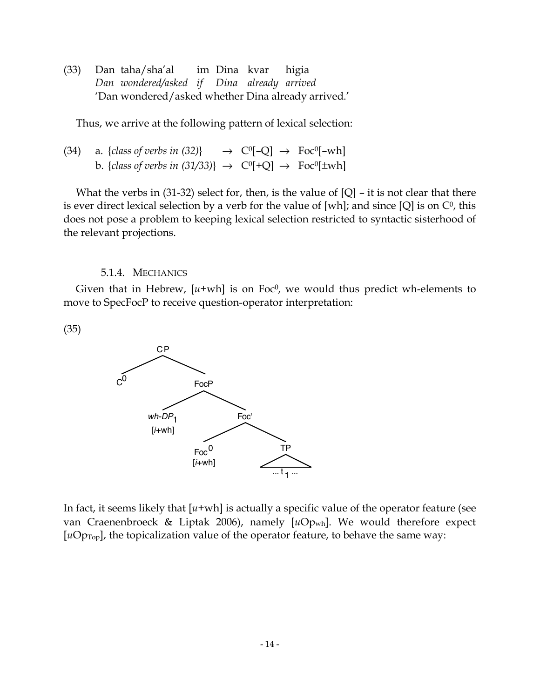(33) Dan taha/sha'al im Dina kvar higia *Dan wondered/asked if Dina already arrived* 'Dan wondered/asked whether Dina already arrived.'

Thus, we arrive at the following pattern of lexical selection:

(34) a. 
$$
\{class\ of\ verbs\ in\ (32)\}\rightarrow C^{0}[-Q] \rightarrow Foc^{0}[-wh]
$$
  
b.  $\{class\ of\ verbs\ in\ (31/33)\} \rightarrow C^{0}[+Q] \rightarrow Foc^{0}[\pm wh]$ 

What the verbs in  $(31-32)$  select for, then, is the value of  $[Q]$  – it is not clear that there is ever direct lexical selection by a verb for the value of [wh]; and since [Q] is on  $C^0$ , this does not pose a problem to keeping lexical selection restricted to syntactic sisterhood of the relevant projections.

#### 5.1.4. MECHANICS

Given that in Hebrew,  $[u+wh]$  is on Foc<sup>0</sup>, we would thus predict wh-elements to move to SpecFocP to receive question-operator interpretation:

(35)



In fact, it seems likely that  $[u+wh]$  is actually a specific value of the operator feature (see van Craenenbroeck & Liptak 2006), namely [*u*Opwh]. We would therefore expect  $[uOp<sub>Top</sub>]$ , the topicalization value of the operator feature, to behave the same way: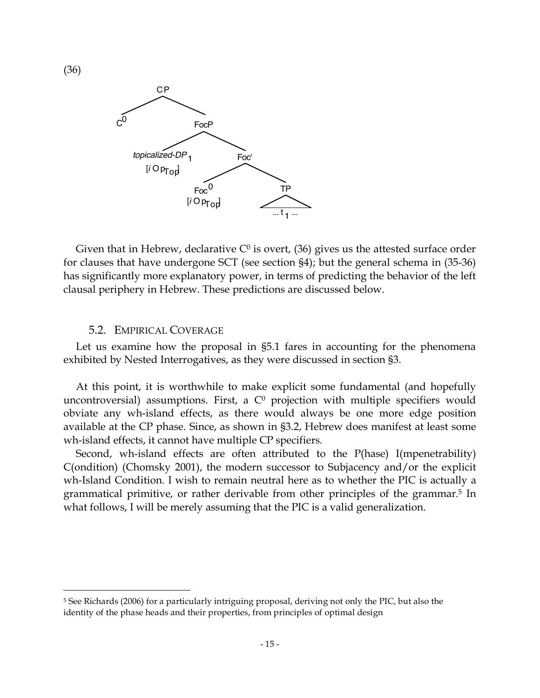

Given that in Hebrew, declarative  $C^0$  is overt, (36) gives us the attested surface order for clauses that have undergone SCT (see section §4); but the general schema in (35-36) has significantly more explanatory power, in terms of predicting the behavior of the left clausal periphery in Hebrew. These predictions are discussed below.

#### 5.2. EMPIRICAL COVERAGE

Let us examine how the proposal in §5.1 fares in accounting for the phenomena exhibited by Nested Interrogatives, as they were discussed in section §3.

At this point, it is worthwhile to make explicit some fundamental (and hopefully uncontroversial) assumptions. First, a  $C<sup>0</sup>$  projection with multiple specifiers would obviate any wh-island effects, as there would always be one more edge position available at the CP phase. Since, as shown in §3.2, Hebrew does manifest at least some wh-island effects, it cannot have multiple CP specifiers.

Second, wh-island effects are often attributed to the P(hase) I(mpenetrability) C(ondition) (Chomsky 2001), the modern successor to Subjacency and/or the explicit wh-Island Condition. I wish to remain neutral here as to whether the PIC is actually a grammatical primitive, or rather derivable from other principles of the grammar. <sup>5</sup> In what follows, I will be merely assuming that the PIC is a valid generalization.

(36)

 <sup>5</sup> See Richards (2006) for <sup>a</sup> particularly intriguing proposal, deriving not only the PIC, but also the identity of the phase heads and their properties, from principles of optimal design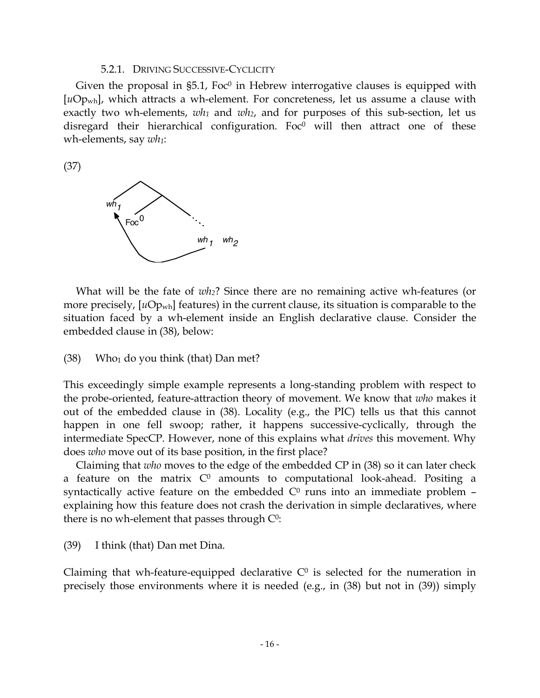#### 5.2.1. DRIVING SUCCESSIVE-CYCLICITY

Given the proposal in  $\S5.1$ , Foc<sup>0</sup> in Hebrew interrogative clauses is equipped with [uOp<sub>wh</sub>], which attracts a wh-element. For concreteness, let us assume a clause with exactly two wh-elements, *wh1* and *wh2*, and for purposes of this sub-section, let us disregard their hierarchical configuration. Foc $0$  will then attract one of these wh-elements, say *wh1*:

(37)



What will be the fate of *wh2*? Since there are no remaining active wh-features (or more precisely, [uOp<sub>wh</sub>] features) in the current clause, its situation is comparable to the situation faced by a wh-element inside an English declarative clause. Consider the embedded clause in (38), below:

#### $(38)$  Who<sub>1</sub> do you think (that) Dan met?

This exceedingly simple example represents a long-standing problem with respect to the probe-oriented, feature-attraction theory of movement. We know that *who* makes it out of the embedded clause in (38). Locality (e.g., the PIC) tells us that this cannot happen in one fell swoop; rather, it happens successive-cyclically, through the intermediate SpecCP. However, none of this explains what *drives* this movement. Why does *who* move out of its base position, in the first place?

Claiming that *who* moves to the edge of the embedded CP in (38) so it can later check a feature on the matrix  $C^0$  amounts to computational look-ahead. Positing a syntactically active feature on the embedded  $C<sup>0</sup>$  runs into an immediate problem explaining how this feature does not crash the derivation in simple declaratives, where there is no wh-element that passes through  $C^0$ :

(39) I think (that) Dan met Dina.

Claiming that wh-feature-equipped declarative  $C<sup>0</sup>$  is selected for the numeration in precisely those environments where it is needed (e.g., in (38) but not in (39)) simply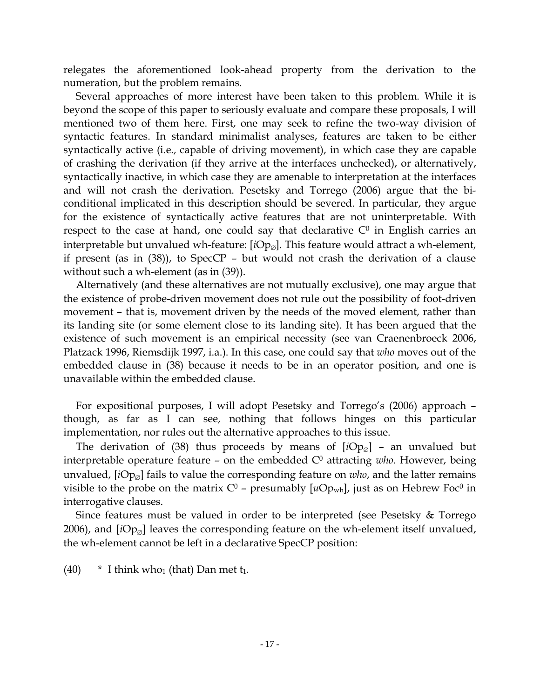relegates the aforementioned look-ahead property from the derivation to the numeration, but the problem remains.

Several approaches of more interest have been taken to this problem. While it is beyond the scope of this paper to seriously evaluate and compare these proposals, I will mentioned two of them here. First, one may seek to refine the two-way division of syntactic features. In standard minimalist analyses, features are taken to be either syntactically active (i.e., capable of driving movement), in which case they are capable of crashing the derivation (if they arrive at the interfaces unchecked), or alternatively, syntactically inactive, in which case they are amenable to interpretation at the interfaces and will not crash the derivation. Pesetsky and Torrego (2006) argue that the biconditional implicated in this description should be severed. In particular, they argue for the existence of syntactically active features that are not uninterpretable. With respect to the case at hand, one could say that declarative  $C<sup>0</sup>$  in English carries an interpretable but unvalued wh-feature: [*i*Op<sub>∅</sub>]. This feature would attract a wh-element, if present (as in (38)), to SpecCP – but would not crash the derivation of a clause without such a wh-element (as in (39)).

Alternatively (and these alternatives are not mutually exclusive), one may argue that the existence of probe-driven movement does not rule out the possibility of foot-driven movement – that is, movement driven by the needs of the moved element, rather than its landing site (or some element close to its landing site). It has been argued that the existence of such movement is an empirical necessity (see van Craenenbroeck 2006, Platzack 1996, Riemsdijk 1997, i.a.). In this case, one could say that *who* moves out of the embedded clause in (38) because it needs to be in an operator position, and one is unavailable within the embedded clause.

For expositional purposes, I will adopt Pesetsky and Torrego's (2006) approach – though, as far as I can see, nothing that follows hinges on this particular implementation, nor rules out the alternative approaches to this issue.

The derivation of (38) thus proceeds by means of  $[iOp<sub>Ø</sub>]$  – an unvalued but interpretable operature feature  $-$  on the embedded  $C<sup>0</sup>$  attracting *who*. However, being unvalued, [*i*Op<sub>Ø</sub>] fails to value the corresponding feature on *who*, and the latter remains visible to the probe on the matrix  $C^0$  – presumably  $[uOp_{wh}]$ , just as on Hebrew Foc<sup>0</sup> in interrogative clauses.

Since features must be valued in order to be interpreted (see Pesetsky & Torrego 2006), and  $[iOp<sub>Ø</sub>]$  leaves the corresponding feature on the wh-element itself unvalued, the wh-element cannot be left in a declarative SpecCP position:

 $(40)$  \* I think who<sub>1</sub> (that) Dan met t<sub>1</sub>.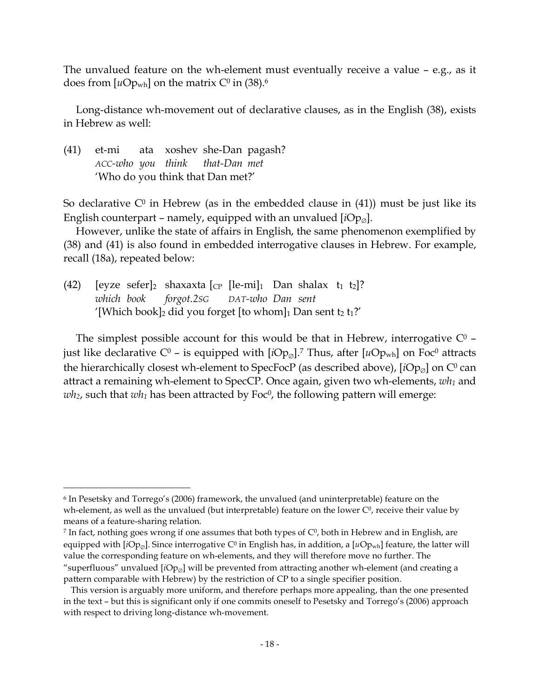The unvalued feature on the wh-element must eventually receive a value – e.g., as it does from [ $u$ Op<sub>wh</sub>] on the matrix C<sup>0</sup> in (38).<sup>6</sup>

Long-distance wh-movement out of declarative clauses, as in the English (38), exists in Hebrew as well:

(41) et-mi ata xoshev she-Dan pagash? *ACC-who you think that-Dan met* 'Who do you think that Dan met?'

So declarative  $C^0$  in Hebrew (as in the embedded clause in (41)) must be just like its English counterpart – namely, equipped with an unvalued  $[iOp_{\odot}]$ .

However, unlike the state of affairs in English, the same phenomenon exemplified by (38) and (41) is also found in embedded interrogative clauses in Hebrew. For example, recall (18a), repeated below:

(42) [eyze sefer]<sub>2</sub> shaxaxta [c<sub>P</sub> [le-mi]<sub>1</sub> Dan shalax t<sub>1</sub> t<sub>2</sub>]? *which book forgot.2SG DAT-who Dan sent* '[Which book]<sub>2</sub> did you forget [to whom]<sub>1</sub> Dan sent t<sub>2</sub> t<sub>1</sub>?'

The simplest possible account for this would be that in Hebrew, interrogative  $C<sup>0</sup>$  just like declarative C<sup>0</sup> – is equipped with [*i*Op<sub>ø</sub>].<sup>7</sup> Thus, after [ $u$ Op<sub>wh</sub>] on Foc<sup>0</sup> attracts the hierarchically closest wh-element to SpecFocP (as described above),  $[iOp_{\emptyset}]$  on  $C^0$  can attract a remaining wh-element to SpecCP. Once again, given two wh-elements, *wh1* and  $wh_2$ , such that  $wh_1$  has been attracted by Foc<sup>0</sup>, the following pattern will emerge:

<sup>7</sup> In fact, nothing goes wrong if one assumes that both types of  $C<sup>0</sup>$ , both in Hebrew and in English, are equipped with  $[iOp_{\emptyset}]$ . Since interrogative C<sup>0</sup> in English has, in addition, a  $[iOp_{wh}]$  feature, the latter will value the corresponding feature on wh-elements, and they will therefore move no further. The "superfluous" unvalued [*iOp*<sub>Ø</sub>] will be prevented from attracting another wh-element (and creating a

 <sup>6</sup> In Pesetsky and Torrego's (2006) framework, the unvalued (and uninterpretable) feature on the wh-element, as well as the unvalued (but interpretable) feature on the lower  $C<sup>0</sup>$ , receive their value by means of a feature-sharing relation.

pattern comparable with Hebrew) by the restriction of CP to a single specifier position.

This version is arguably more uniform, and therefore perhaps more appealing, than the one presented in the text – but this is significant only if one commits oneself to Pesetsky and Torrego's (2006) approach with respect to driving long-distance wh-movement.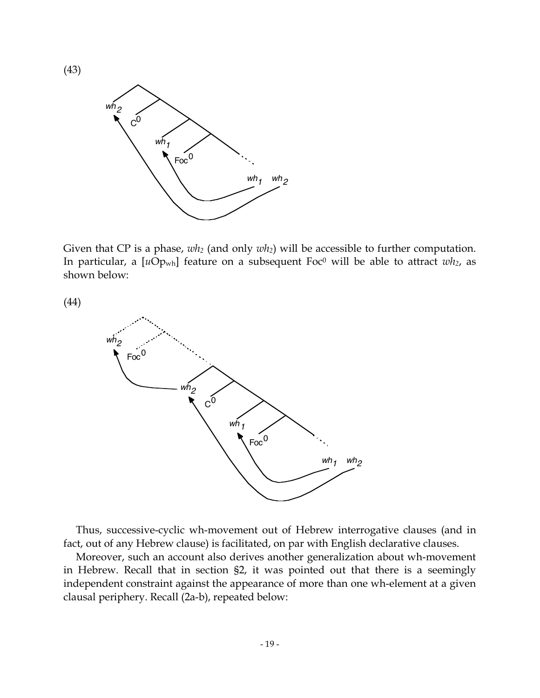

Given that CP is a phase,  $wh_2$  (and only  $wh_2$ ) will be accessible to further computation. In particular, a  $[uOp_{wh}]$  feature on a subsequent Foc<sup>0</sup> will be able to attract  $wh_2$ , as shown below:

(44)

(43)



Thus, successive-cyclic wh-movement out of Hebrew interrogative clauses (and in fact, out of any Hebrew clause) is facilitated, on par with English declarative clauses.

Moreover, such an account also derives another generalization about wh-movement in Hebrew. Recall that in section §2, it was pointed out that there is a seemingly independent constraint against the appearance of more than one wh-element at a given clausal periphery. Recall (2a-b), repeated below: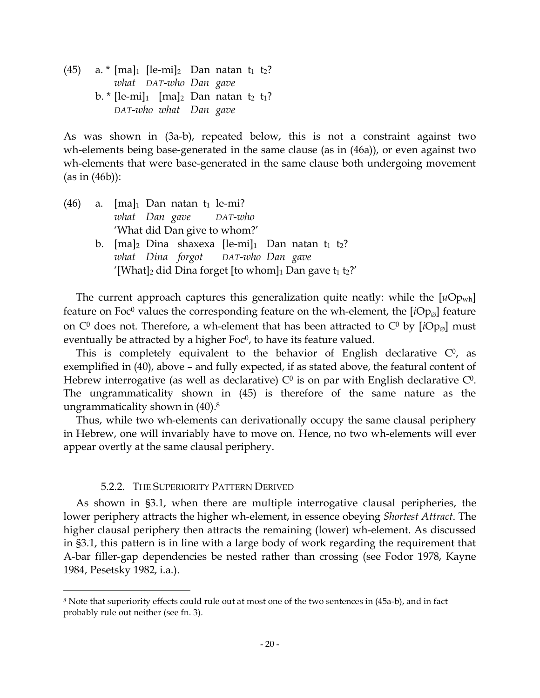(45) a.  $\pi$  [ma]<sub>1</sub> [le-mi]<sub>2</sub> Dan natan t<sub>1</sub> t<sub>2</sub>? *what DAT-who Dan gave* b.  $*$  [le-mi]<sub>1</sub> [ma]<sub>2</sub> Dan natan t<sub>2</sub> t<sub>1</sub>? *DAT-who what Dan gave*

As was shown in (3a-b), repeated below, this is not a constraint against two wh-elements being base-generated in the same clause (as in (46a)), or even against two wh-elements that were base-generated in the same clause both undergoing movement (as in (46b)):

| (46) | a. $[ma]_1$ Dan natan $t_1$ le-mi?                                                |
|------|-----------------------------------------------------------------------------------|
|      | what Dan gave DAT-who                                                             |
|      | 'What did Dan give to whom?'                                                      |
|      | b. $[ma]_2$ Dina shaxexa $[le-mi]_1$ Dan natan $t_1$ $t_2$ ?                      |
|      | what Dina forgot DAT-who Dan gave                                                 |
|      | '[What] <sub>2</sub> did Dina forget [to whom] <sub>1</sub> Dan gave $t_1 t_2$ ?' |

The current approach captures this generalization quite neatly: while the  $[uOp_{wh}]$ feature on Foc<sup>0</sup> values the corresponding feature on the wh-element, the  $[iOp<sub>Ø</sub>]$  feature on  $C^0$  does not. Therefore, a wh-element that has been attracted to  $C^0$  by  $[iOp_{\emptyset}]$  must eventually be attracted by a higher  $Foc<sup>0</sup>$ , to have its feature valued.

This is completely equivalent to the behavior of English declarative  $C<sup>0</sup>$ , as exemplified in (40), above – and fully expected, if as stated above, the featural content of Hebrew interrogative (as well as declarative)  $C^0$  is on par with English declarative  $C^0$ . The ungrammaticality shown in (45) is therefore of the same nature as the ungrammaticality shown in (40). 8

Thus, while two wh-elements can derivationally occupy the same clausal periphery in Hebrew, one will invariably have to move on. Hence, no two wh-elements will ever appear overtly at the same clausal periphery.

# 5.2.2. THE SUPERIORITY PATTERN DERIVED

As shown in §3.1, when there are multiple interrogative clausal peripheries, the lower periphery attracts the higher wh-element, in essence obeying *Shortest Attract*. The higher clausal periphery then attracts the remaining (lower) wh-element. As discussed in §3.1, this pattern is in line with a large body of work regarding the requirement that A-bar filler-gap dependencies be nested rather than crossing (see Fodor 1978, Kayne 1984, Pesetsky 1982, i.a.).

 <sup>8</sup> Note that superiority effects could rule out at most one of the two sentences in (45a-b), and in fact probably rule out neither (see fn. 3).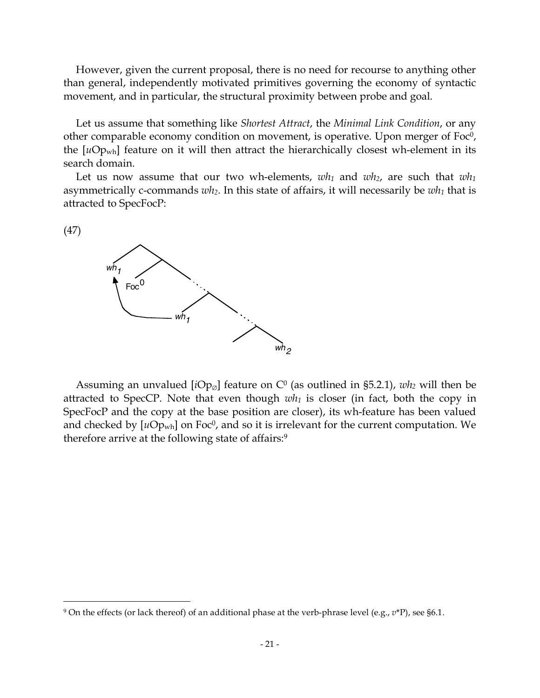However, given the current proposal, there is no need for recourse to anything other than general, independently motivated primitives governing the economy of syntactic movement, and in particular, the structural proximity between probe and goal.

Let us assume that something like *Shortest Attract*, the *Minimal Link Condition*, or any other comparable economy condition on movement, is operative. Upon merger of  $Foc<sup>0</sup>$ , the [*u*Opwh] feature on it will then attract the hierarchically closest wh-element in its search domain.

Let us now assume that our two wh-elements,  $wh_1$  and  $wh_2$ , are such that  $wh_1$ asymmetrically c-commands *wh2*. In this state of affairs, it will necessarily be *wh1* that is attracted to SpecFocP:





Assuming an unvalued  $[iOp_{\varnothing}]$  feature on C<sup>0</sup> (as outlined in §5.2.1), *wh*<sub>2</sub> will then be attracted to SpecCP. Note that even though  $wh_1$  is closer (in fact, both the copy in SpecFocP and the copy at the base position are closer), its wh-feature has been valued and checked by  $[uOp_{wh}]$  on Foc<sup>0</sup>, and so it is irrelevant for the current computation. We therefore arrive at the following state of affairs:9

 <sup>9</sup> On the effects (or lack thereof) of an additional phase at the verb-phrase level (e.g., *<sup>v</sup>*\*P), see §6.1.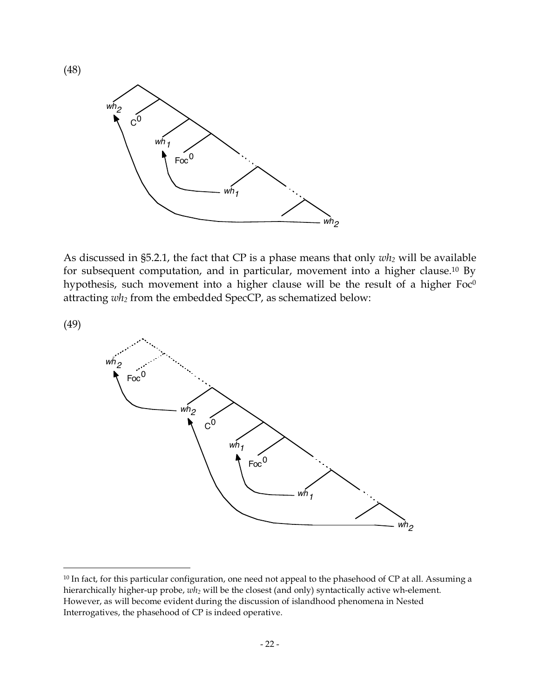

As discussed in §5.2.1, the fact that CP is a phase means that only *wh2* will be available for subsequent computation, and in particular, movement into a higher clause.10 By hypothesis, such movement into a higher clause will be the result of a higher  $Foc<sup>0</sup>$ attracting *wh2* from the embedded SpecCP, as schematized below:

(49)

(48)



<sup>&</sup>lt;sup>10</sup> In fact, for this particular configuration, one need not appeal to the phasehood of CP at all. Assuming a hierarchically higher-up probe, *wh2* will be the closest (and only) syntactically active wh-element. However, as will become evident during the discussion of islandhood phenomena in Nested Interrogatives, the phasehood of CP is indeed operative.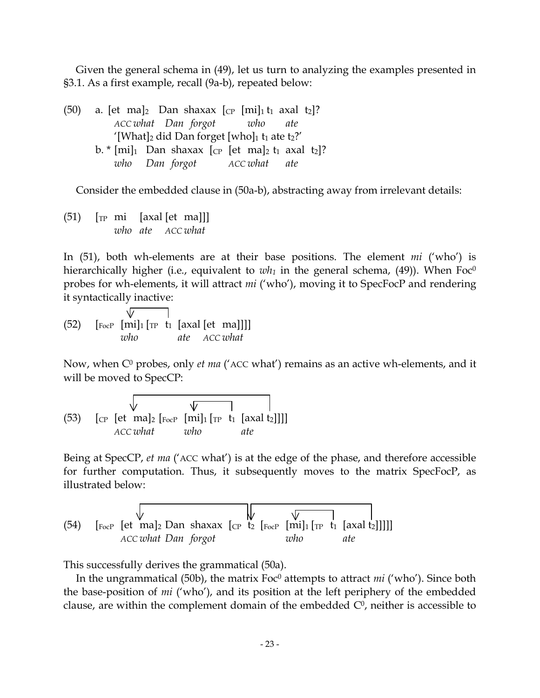Given the general schema in (49), let us turn to analyzing the examples presented in §3.1. As a first example, recall (9a-b), repeated below:

|                                                                                             | (50) a. [et ma] <sub>2</sub> Dan shaxax $\lbrack_{CP}$ [mi] <sub>1</sub> t <sub>1</sub> axal t <sub>2</sub> ]? |  |  |     |  |  |  |  |  |
|---------------------------------------------------------------------------------------------|----------------------------------------------------------------------------------------------------------------|--|--|-----|--|--|--|--|--|
|                                                                                             | ACC what Dan forgot who                                                                                        |  |  | ate |  |  |  |  |  |
| '[What] <sub>2</sub> did Dan forget [who] <sub>1</sub> t <sub>1</sub> ate t <sub>2</sub> ?' |                                                                                                                |  |  |     |  |  |  |  |  |
|                                                                                             | b. * $[mi]_1$ Dan shaxax $[CP]$ [et ma] <sub>2</sub> t <sub>1</sub> axal t <sub>2</sub> ]?                     |  |  |     |  |  |  |  |  |
|                                                                                             | who Dan forgot ACC what ate                                                                                    |  |  |     |  |  |  |  |  |

Consider the embedded clause in (50a-b), abstracting away from irrelevant details:

 $(51)$   $\lceil \text{TP} \text{mi} \rceil$   $\lceil \text{axal} \rceil$   $\lceil \text{et mal} \rceil \rceil$ *who ate ACC what*

In (51), both wh-elements are at their base positions. The element *mi* ('who') is hierarchically higher (i.e., equivalent to  $wh_1$  in the general schema, (49)). When  $Foc^0$ probes for wh-elements, it will attract *mi* ('who'), moving it to SpecFocP and rendering it syntactically inactive:

 $\sqrt{7}$ (52)  $\left[\begin{matrix} \text{FocP} \\ \text{FocP} \end{matrix}\right]$   $\left[\begin{matrix} \text{m1} \\ \text{m2} \end{matrix}\right]$   $\left[\begin{matrix} \text{m1} \\ \text{m1} \end{matrix}\right]$   $\left[\begin{matrix} \text{m2} \\ \text{m3} \end{matrix}\right]$ *who ate ACC what*

Now, when C<sup>0</sup> probes, only *et ma* ('ACC what') remains as an active wh-elements, and it will be moved to SpecCP:

(53) [CP [et ma]2 [FocP [mi]1 [TP t1 [axal t2]]]] *ACC what who ate*

Being at SpecCP, *et ma* ('ACC what') is at the edge of the phase, and therefore accessible for further computation. Thus, it subsequently moves to the matrix SpecFocP, as illustrated below:

(54) [FocP [et ma]2 Dan shaxax [CP t2 [FocP [mi]1 [TP t1 [axal t2]]]]] *ACC what Dan forgot who ate*

This successfully derives the grammatical (50a).

In the ungrammatical (50b), the matrix Foc<sup>0</sup> attempts to attract *mi* ('who'). Since both the base-position of *mi* ('who'), and its position at the left periphery of the embedded clause, are within the complement domain of the embedded  $C<sup>0</sup>$ , neither is accessible to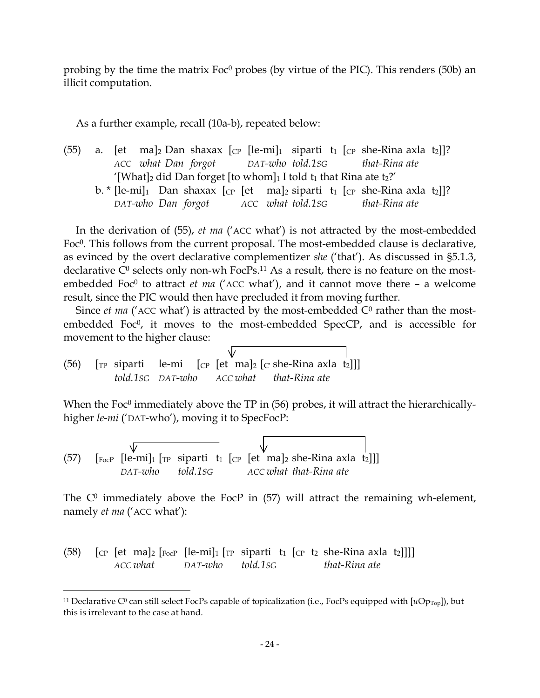probing by the time the matrix Foc<sup>0</sup> probes (by virtue of the PIC). This renders (50b) an illicit computation.

As a further example, recall (10a-b), repeated below:

- (55) a. [et ma]<sub>2</sub> Dan shaxax [cp [le-mi]<sub>1</sub> siparti t<sub>1</sub> [cp she-Rina axla t<sub>2</sub>]]? *ACC what Dan forgot DAT-who told.1SG that-Rina ate* '[What]<sub>2</sub> did Dan forget [to whom]<sub>1</sub> I told  $t_1$  that Rina ate  $t_2$ ?'
	- b. \* [le-mi]<sub>1</sub> Dan shaxax [cp [et ma]<sub>2</sub> siparti t<sub>1</sub> [cp she-Rina axla t<sub>2</sub>]]? *DAT-who Dan forgot ACC what told.1SG that-Rina ate*

In the derivation of (55), *et ma* ('ACC what') is not attracted by the most-embedded Foc<sup>0</sup>. This follows from the current proposal. The most-embedded clause is declarative, as evinced by the overt declarative complementizer *she* ('that'). As discussed in §5.1.3, declarative  $C^0$  selects only non-wh FocPs.<sup>11</sup> As a result, there is no feature on the mostembedded Foc<sup>0</sup> to attract *et ma* ('ACC what'), and it cannot move there – a welcome result, since the PIC would then have precluded it from moving further.

Since *et ma* ('ACC what') is attracted by the most-embedded  $C<sup>0</sup>$  rather than the mostembedded Foc<sup>0</sup>, it moves to the most-embedded SpecCP, and is accessible for movement to the higher clause:

(56)  $\lceil \text{TP} \rceil$  siparti le-mi  $\lceil \text{CP} \rceil$  et ma $\lceil \text{CP} \rceil$  she-Rina axla t<sub>2</sub> *told.1SG DAT-who ACC what that-Rina ate*

When the Foc<sup> $0$ </sup> immediately above the TP in  $(56)$  probes, it will attract the hierarchicallyhigher *le-mi* ('DAT-who'), moving it to SpecFocP:

(57)  $\lceil \sqrt{\frac{F_{\text{OCP}}}{F_{\text{OCP}}}} \rceil$  [le-mi]<sub>1</sub>  $\lceil \sqrt{\sqrt{\frac{F_{\text{OCP}}}{F_{\text{OP}}}} \rceil$  [et ma]<sub>2</sub> she-Rina axla t<sub>2</sub>]] *DAT-who told.1SG ACC what that-Rina ate*

The  $C<sup>0</sup>$  immediately above the FocP in (57) will attract the remaining wh-element, namely *et ma* ('ACC what'):

(58) [CP [et ma]2 [FocP [le-mi]1 [TP siparti t1 [CP t2 she-Rina axla t2]]]] *ACC what DAT-who told.1SG that-Rina ate*

<sup>&</sup>lt;sup>11</sup> Declarative C<sup>0</sup> can still select FocPs capable of topicalization (i.e., FocPs equipped with  $[uOp<sub>Top</sub>]$ ), but this is irrelevant to the case at hand.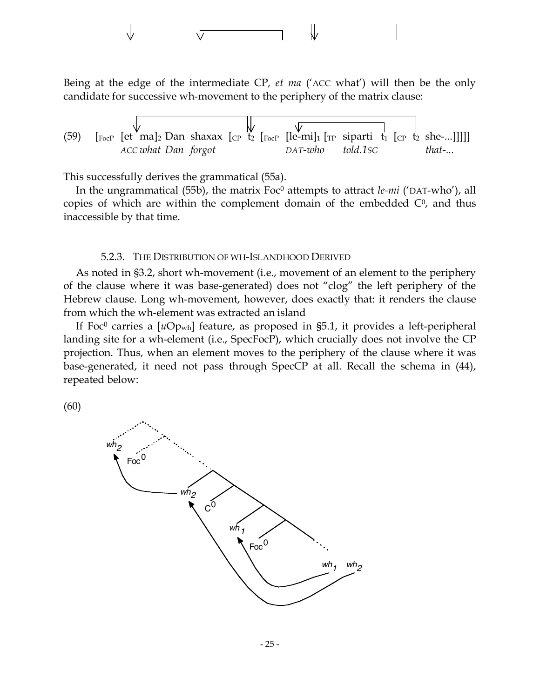

Being at the edge of the intermediate CP, *et ma* ('ACC what') will then be the only candidate for successive wh-movement to the periphery of the matrix clause:

(59) [FocP [et ma]2 Dan shaxax [CP t2 [FocP [le-mi]1 [TP siparti t1 [CP t2 she-...]]]]] *ACC what Dan forgot DAT-who told.1SG that-...*

This successfully derives the grammatical (55a).

In the ungrammatical (55b), the matrix Foc<sup>0</sup> attempts to attract *le-mi* ('DAT-who'), all copies of which are within the complement domain of the embedded  $C<sup>0</sup>$ , and thus inaccessible by that time.

#### 5.2.3. THE DISTRIBUTION OF WH-ISLANDHOOD DERIVED

As noted in §3.2, short wh-movement (i.e., movement of an element to the periphery of the clause where it was base-generated) does not "clog" the left periphery of the Hebrew clause. Long wh-movement, however, does exactly that: it renders the clause from which the wh-element was extracted an island

If Foc<sup>0</sup> carries a [uOp<sub>wh</sub>] feature, as proposed in §5.1, it provides a left-peripheral landing site for a wh-element (i.e., SpecFocP), which crucially does not involve the CP projection. Thus, when an element moves to the periphery of the clause where it was base-generated, it need not pass through SpecCP at all. Recall the schema in (44), repeated below:

(60)

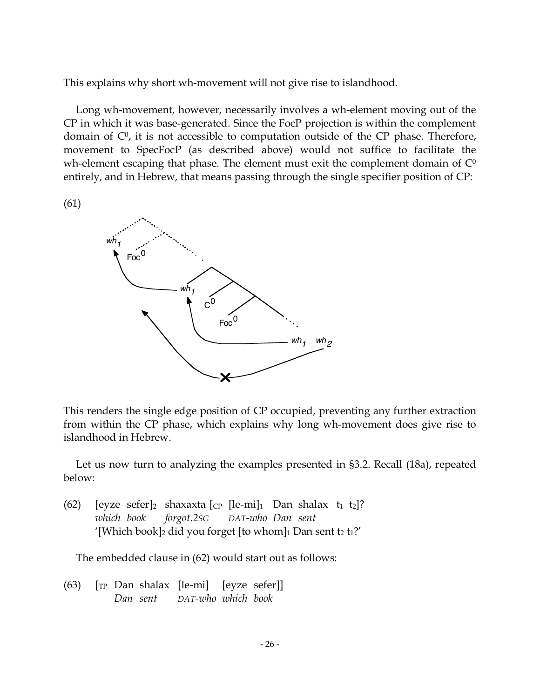This explains why short wh-movement will not give rise to islandhood.

Long wh-movement, however, necessarily involves a wh-element moving out of the CP in which it was base-generated. Since the FocP projection is within the complement domain of  $\mathbb{C}^0$ , it is not accessible to computation outside of the CP phase. Therefore, movement to SpecFocP (as described above) would not suffice to facilitate the wh-element escaping that phase. The element must exit the complement domain of  $\mathbb{C}^0$ entirely, and in Hebrew, that means passing through the single specifier position of CP:

(61)



This renders the single edge position of CP occupied, preventing any further extraction from within the CP phase, which explains why long wh-movement does give rise to islandhood in Hebrew.

Let us now turn to analyzing the examples presented in §3.2. Recall (18a), repeated below:

(62) [eyze sefer]<sub>2</sub> shaxaxta  $\lbrack \text{c}_P \rbrack$  [le-mi]<sub>1</sub> Dan shalax  $t_1$   $t_2$ ]? *which book forgot.2SG DAT-who Dan sent* '[Which book]<sup>2</sup> did you forget [to whom]<sup>1</sup> Dan sent t<sup>2</sup> t<sup>1</sup>?'

The embedded clause in (62) would start out as follows:

 $(63)$   $\lceil$  [TP Dan shalax  $\lceil$  le-mi]  $\lceil$  [eyze sefer]] *Dan sent DAT-who which book*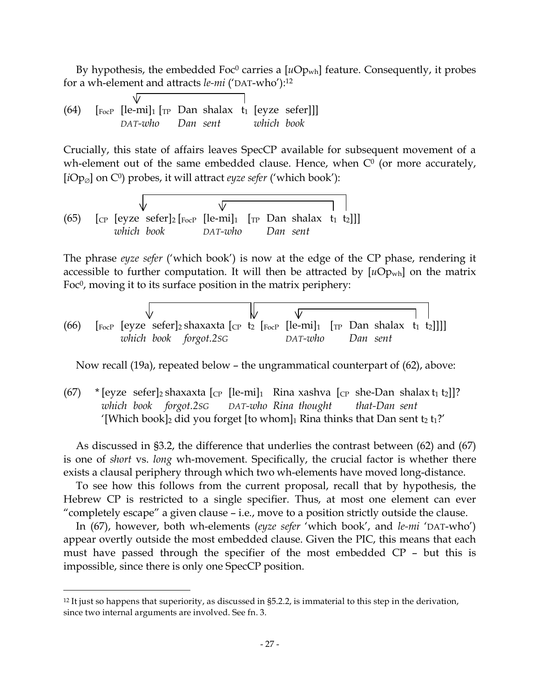By hypothesis, the embedded Foc<sup>0</sup> carries a  $[uOp_{wh}]$  feature. Consequently, it probes for a wh-element and attracts *le-mi* ('DAT-who'): 12

(64) 
$$
\begin{array}{cc}\n & \mathsf{V} & \mathsf{I} \\
\text{[Fe-1]} & \mathsf{I} & \mathsf{I} \\
\mathsf{I} & \mathsf{I} & \mathsf{I}\n \end{array}
$$
\n (64) 
$$
\begin{array}{cc}\n & \mathsf{I} & \mathsf{I} \\
\text{[Fe-1]} & \mathsf{I} & \mathsf{I}\n \end{array}
$$
\n (64) 
$$
\begin{array}{cc}\n & \mathsf{I} & \mathsf{I} \\
\mathsf{D} & \mathsf{I}\n \end{array}
$$
\n (65) 
$$
\begin{array}{cc}\n & \mathsf{I} & \mathsf{I} \\
\mathsf{I} & \mathsf{I}\n \end{array}
$$
\n (66) 
$$
\begin{array}{cc}\n \mathsf{I} & \mathsf{I} & \mathsf{I} \\
\mathsf{I} & \mathsf{I}\n \end{array}
$$

 $\sqrt{2}$ 

Crucially, this state of affairs leaves SpecCP available for subsequent movement of a wh-element out of the same embedded clause. Hence, when  $C<sup>0</sup>$  (or more accurately,  $[iOp<sub>Ø</sub>]$  on C<sup>0</sup>) probes, it will attract *eyze sefer* ('which book'):

(65) [c) 
$$
\begin{array}{c|c|c|c|c|c|c|c|c} \hline \text{ $\mathbb{C}$} & \text{[e-}m & \text{[r} & \text{Dan shalax } t_1 & t_2]]] & \text{[r} & \text{Dan shalax } t_1 & t_2]]] & \text{[r} & \text{Dan sent} \end{array}
$$

The phrase *eyze sefer* ('which book') is now at the edge of the CP phase, rendering it accessible to further computation. It will then be attracted by  $[uOp_{wh}]$  on the matrix Foc<sup> $0$ </sup>, moving it to its surface position in the matrix periphery:

(66) [FocP [eyze sefer]2 shaxaxta [CP t2 [FocP [le-mi]1 [TP Dan shalax t1 t2]]]] *which book forgot.2SG DAT-who Dan sent*

Now recall (19a), repeated below – the ungrammatical counterpart of (62), above:

(67) \* [eyze sefer]<sub>2</sub> shaxaxta [cp [le-mi]<sub>1</sub> Rina xashva [cp she-Dan shalax t<sub>1</sub> t<sub>2</sub>]]? *which book forgot.2SG DAT-who Rina thought that-Dan sent* '[Which book]<sub>2</sub> did you forget [to whom]<sub>1</sub> Rina thinks that Dan sent  $t_2 t_1$ ?'

As discussed in §3.2, the difference that underlies the contrast between (62) and (67) is one of *short* vs. *long* wh-movement. Specifically, the crucial factor is whether there exists a clausal periphery through which two wh-elements have moved long-distance.

To see how this follows from the current proposal, recall that by hypothesis, the Hebrew CP is restricted to a single specifier. Thus, at most one element can ever "completely escape" a given clause – i.e., move to a position strictly outside the clause.

In (67), however, both wh-elements (*eyze sefer* 'which book', and *le-mi* 'DAT-who') appear overtly outside the most embedded clause. Given the PIC, this means that each must have passed through the specifier of the most embedded CP – but this is impossible, since there is only one SpecCP position.

 <sup>12</sup> It just so happens that superiority, as discussed in §5.2.2, is immaterial to this step in the derivation, since two internal arguments are involved. See fn. 3.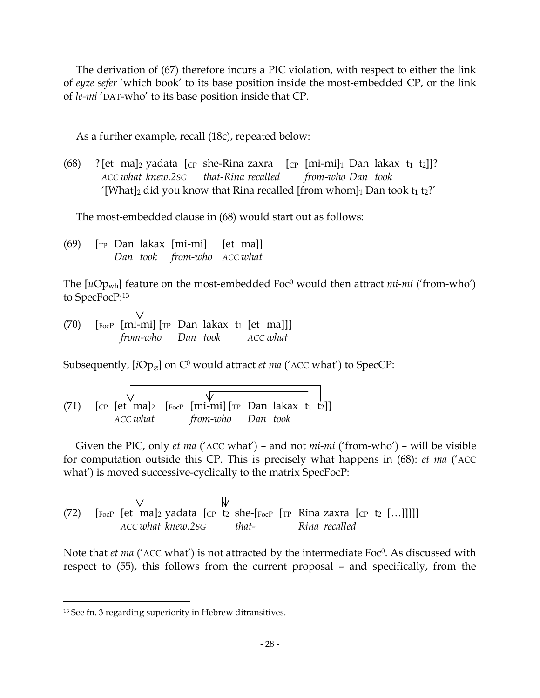The derivation of (67) therefore incurs a PIC violation, with respect to either the link of *eyze sefer* 'which book' to its base position inside the most-embedded CP, or the link of *le-mi* 'DAT-who' to its base position inside that CP.

As a further example, recall (18c), repeated below:

(68) ? [et ma]<sub>2</sub> yadata [<sub>CP</sub> she-Rina zaxra [<sub>CP</sub> [mi-mi]<sub>1</sub> Dan lakax t<sub>1</sub> t<sub>2</sub>]]? *ACC what knew.2SG that-Rina recalled from-who Dan took* '[What]<sub>2</sub> did you know that Rina recalled [from whom]<sub>1</sub> Dan took  $t_1 t_2$ ?'

The most-embedded clause in (68) would start out as follows:

 $(69)$   $\lceil$ <sub>TP</sub> Dan lakax  $\lceil$ mi-mi $\rceil$   $\lceil$  et ma $\rceil$ *Dan took from-who ACC what*

The [uOp<sub>wh</sub>] feature on the most-embedded Foc<sup>0</sup> would then attract *mi-mi* ('from-who') to SpecFocP: 13

(70)  $\lceil \frac{\text{FocP}}{\text{FocP}} \rceil$  mi-mi $\lceil \frac{\text{Fpc}}{\text{F}} \rceil$   $\lceil \frac{\text{FocP}}{\text{FocP}} \rceil$   $\lceil \frac{\text{FocP}}{\text{FocP}} \rceil$ *from-who Dan took ACC what*

Subsequently,  $[iOp_{\emptyset}]$  on  $C^0$  would attract *et ma* ('ACC what') to SpecCP:

 $\sqrt{\!}$ (71)  $\lceil \text{CP} \rceil$  [et ma]<sub>2</sub>  $\lceil \text{FocP} \rceil$  [mi-mi]  $\lceil \text{TP} \rceil$  Dan lakax t<sub>1</sub> t<sub>2</sub>]] *ACC what from-who Dan took*

Given the PIC, only *et ma* ('ACC what') – and not *mi-mi* ('from-who') – will be visible for computation outside this CP. This is precisely what happens in (68): *et ma* ('ACC what') is moved successive-cyclically to the matrix SpecFocP:

(72)  $\left[\begin{array}{cc} \text{FocP} & \text{[et mal2 yadata [CP t2 she-[FocP [TP Rina zaxra [CP t2 [...]]]]} \end{array}\right]$ *ACC what knew.2SG that- Rina recalled*

Note that *et ma* ('ACC what') is not attracted by the intermediate Foc0. As discussed with respect to (55), this follows from the current proposal – and specifically, from the

 <sup>13</sup> See fn. <sup>3</sup> regarding superiority in Hebrew ditransitives.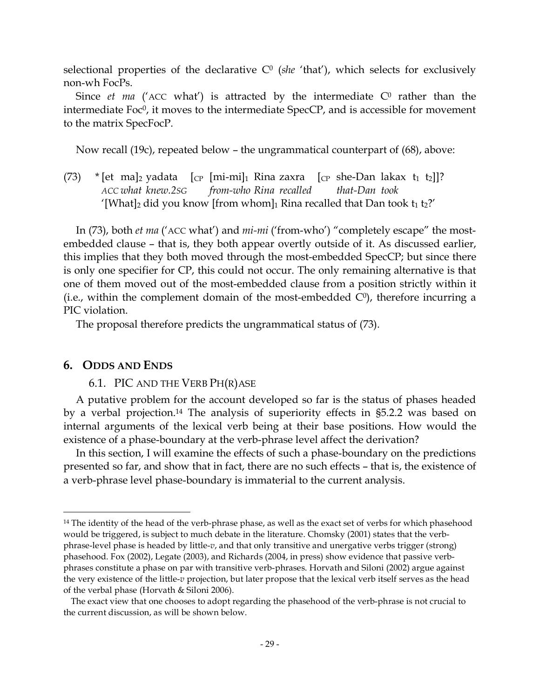selectional properties of the declarative  $C<sup>0</sup>$  (*she* 'that'), which selects for exclusively non-wh FocPs.

Since *et ma* ('ACC what') is attracted by the intermediate  $C<sup>0</sup>$  rather than the intermediate  $Foc^0$ , it moves to the intermediate  $SpecCP$ , and is accessible for movement to the matrix SpecFocP.

Now recall (19c), repeated below – the ungrammatical counterpart of (68), above:

(73) \* [et ma]<sub>2</sub> yadata  $[\text{CP} \; [\text{mi-mi}]_1$  Rina zaxra  $[\text{CP} \; \text{she-Dan} \; \text{lakax} \; t_1 \; t_2]]$ ? *ACC what knew.2SG from-who Rina recalled that-Dan took* '[What]<sub>2</sub> did you know [from whom]<sub>1</sub> Rina recalled that Dan took  $t_1 t_2$ ?'

In (73), both *et ma* ('ACC what') and *mi-mi* ('from-who') "completely escape" the mostembedded clause – that is, they both appear overtly outside of it. As discussed earlier, this implies that they both moved through the most-embedded SpecCP; but since there is only one specifier for CP, this could not occur. The only remaining alternative is that one of them moved out of the most-embedded clause from a position strictly within it (i.e., within the complement domain of the most-embedded  $C<sup>0</sup>$ ), therefore incurring a PIC violation.

The proposal therefore predicts the ungrammatical status of (73).

# **6. ODDS AND ENDS**

6.1. PIC AND THE VERB PH(R)ASE

A putative problem for the account developed so far is the status of phases headed by a verbal projection. <sup>14</sup> The analysis of superiority effects in §5.2.2 was based on internal arguments of the lexical verb being at their base positions. How would the existence of a phase-boundary at the verb-phrase level affect the derivation?

In this section, I will examine the effects of such a phase-boundary on the predictions presented so far, and show that in fact, there are no such effects – that is, the existence of a verb-phrase level phase-boundary is immaterial to the current analysis.

<sup>&</sup>lt;sup>14</sup> The identity of the head of the verb-phrase phase, as well as the exact set of verbs for which phasehood would be triggered, is subject to much debate in the literature. Chomsky (2001) states that the verbphrase-level phase is headed by little-*v*, and that only transitive and unergative verbs trigger (strong) phasehood. Fox (2002), Legate (2003), and Richards (2004, in press) show evidence that passive verbphrases constitute a phase on par with transitive verb-phrases. Horvath and Siloni (2002) argue against the very existence of the little-*v* projection, but later propose that the lexical verb itself serves as the head of the verbal phase (Horvath & Siloni 2006).

The exact view that one chooses to adopt regarding the phasehood of the verb-phrase is not crucial to the current discussion, as will be shown below.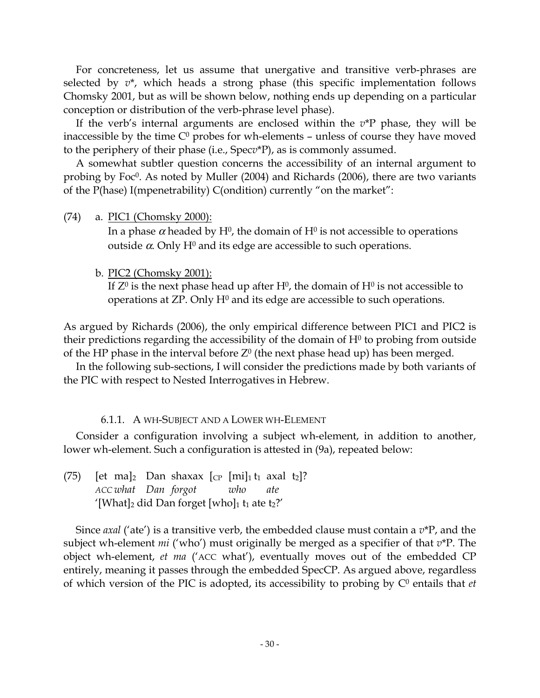For concreteness, let us assume that unergative and transitive verb-phrases are selected by *v*\*, which heads a strong phase (this specific implementation follows Chomsky 2001, but as will be shown below, nothing ends up depending on a particular conception or distribution of the verb-phrase level phase).

If the verb's internal arguments are enclosed within the *v*\*P phase, they will be inaccessible by the time  $C^0$  probes for wh-elements – unless of course they have moved to the periphery of their phase (i.e., Spec*v*\*P), as is commonly assumed.

A somewhat subtler question concerns the accessibility of an internal argument to probing by Foc $\degree$ . As noted by Muller (2004) and Richards (2006), there are two variants of the P(hase) I(mpenetrability) C(ondition) currently "on the market":

(74) a. PIC1 (Chomsky 2000):

In a phase  $\alpha$  headed by H<sup>0</sup>, the domain of H<sup>0</sup> is not accessible to operations outside  $\alpha$ . Only H<sup>0</sup> and its edge are accessible to such operations.

b. PIC2 (Chomsky 2001):

If  $Z^0$  is the next phase head up after H<sup>0</sup>, the domain of H<sup>0</sup> is not accessible to operations at  $\mathbb{Z}P$ . Only  $H^0$  and its edge are accessible to such operations.

As argued by Richards (2006), the only empirical difference between PIC1 and PIC2 is their predictions regarding the accessibility of the domain of  $H<sup>0</sup>$  to probing from outside of the HP phase in the interval before  $Z^0$  (the next phase head up) has been merged.

In the following sub-sections, I will consider the predictions made by both variants of the PIC with respect to Nested Interrogatives in Hebrew.

### 6.1.1. A WH-SUBJECT AND A LOWER WH-ELEMENT

Consider a configuration involving a subject wh-element, in addition to another, lower wh-element. Such a configuration is attested in (9a), repeated below:

(75) [et ma]<sub>2</sub> Dan shaxax  $|CP |mil_1t_1$  axal t<sub>2</sub>]? *ACC what Dan forgot who ate* '[What]<sub>2</sub> did Dan forget [who]<sub>1</sub> t<sub>1</sub> ate t<sub>2</sub>?'

Since *axal* ('ate') is a transitive verb, the embedded clause must contain a *v*\*P, and the subject wh-element *mi* ('who') must originally be merged as a specifier of that *v*\*P. The object wh-element, *et ma* ('ACC what'), eventually moves out of the embedded CP entirely, meaning it passes through the embedded SpecCP. As argued above, regardless of which version of the PIC is adopted, its accessibility to probing by C<sup>0</sup> entails that *et*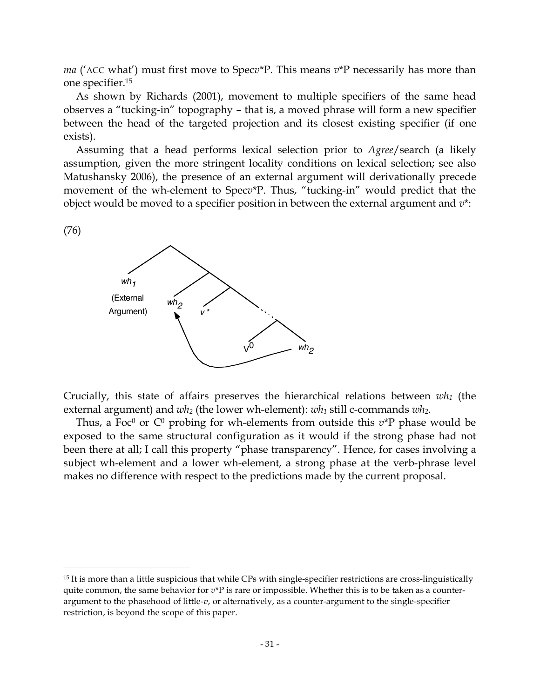*ma* ('ACC what') must first move to Spec*v*\*P. This means *v*\*P necessarily has more than one specifier. 15

As shown by Richards (2001), movement to multiple specifiers of the same head observes a "tucking-in" topography – that is, a moved phrase will form a new specifier between the head of the targeted projection and its closest existing specifier (if one exists).

Assuming that a head performs lexical selection prior to *Agree*/search (a likely assumption, given the more stringent locality conditions on lexical selection; see also Matushansky 2006), the presence of an external argument will derivationally precede movement of the wh-element to Spec*v*\*P. Thus, "tucking-in" would predict that the object would be moved to a specifier position in between the external argument and *v*\*:

#### (76)



Crucially, this state of affairs preserves the hierarchical relations between *wh1* (the external argument) and *wh*<sub>2</sub> (the lower wh-element): *wh*<sub>1</sub> still c-commands *wh*<sub>2</sub>.

Thus, a Foc<sup>0</sup> or  $C^0$  probing for wh-elements from outside this  $v^*P$  phase would be exposed to the same structural configuration as it would if the strong phase had not been there at all; I call this property "phase transparency". Hence, for cases involving a subject wh-element and a lower wh-element, a strong phase at the verb-phrase level makes no difference with respect to the predictions made by the current proposal.

 <sup>15</sup> It is more than <sup>a</sup> little suspicious that while CPs with single-specifier restrictions are cross-linguistically quite common, the same behavior for  $v^*P$  is rare or impossible. Whether this is to be taken as a counterargument to the phasehood of little-*v*, or alternatively, as a counter-argument to the single-specifier restriction, is beyond the scope of this paper.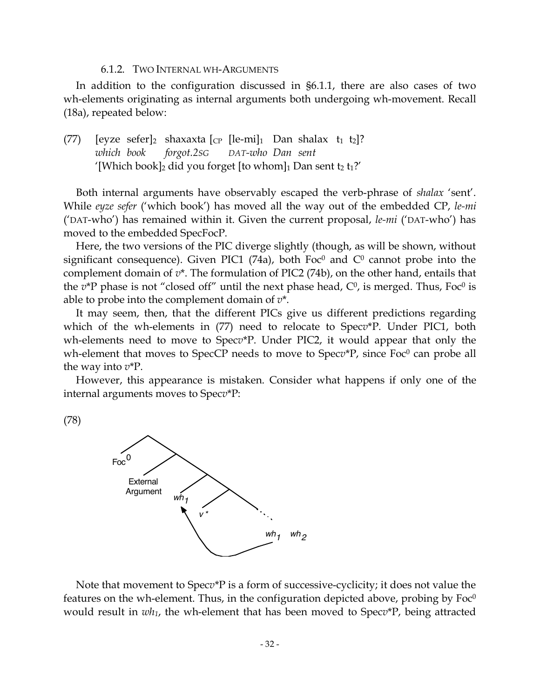#### 6.1.2. TWO INTERNAL WH-ARGUMENTS

In addition to the configuration discussed in §6.1.1, there are also cases of two wh-elements originating as internal arguments both undergoing wh-movement. Recall (18a), repeated below:

(77) [eyze sefer]<sub>2</sub> shaxaxta [cp [le-mi]<sub>1</sub> Dan shalax t<sub>1</sub> t<sub>2</sub>]? *which book forgot.2SG DAT-who Dan sent* '[Which book]<sub>2</sub> did you forget [to whom]<sub>1</sub> Dan sent t<sub>2</sub> t<sub>1</sub>?'

Both internal arguments have observably escaped the verb-phrase of *shalax* 'sent'. While *eyze sefer* ('which book') has moved all the way out of the embedded CP, *le-mi* ('DAT-who') has remained within it. Given the current proposal, *le-mi* ('DAT-who') has moved to the embedded SpecFocP.

Here, the two versions of the PIC diverge slightly (though, as will be shown, without significant consequence). Given PIC1 (74a), both Foc<sup>0</sup> and  $C<sup>0</sup>$  cannot probe into the complement domain of *v*\*. The formulation of PIC2 (74b), on the other hand, entails that the  $v^*$ P phase is not "closed off" until the next phase head,  $C^0$ , is merged. Thus, Foc<sup>0</sup> is able to probe into the complement domain of *v*\*.

It may seem, then, that the different PICs give us different predictions regarding which of the wh-elements in (77) need to relocate to Spec*v*\*P. Under PIC1, both wh-elements need to move to Spec*v*\*P. Under PIC2, it would appear that only the wh-element that moves to SpecCP needs to move to Specv<sup>\*</sup>P, since Foc<sup>0</sup> can probe all the way into *v*\*P.

However, this appearance is mistaken. Consider what happens if only one of the internal arguments moves to Spec*v*\*P:

(78)



Note that movement to Spec*v*\*P is a form of successive-cyclicity; it does not value the features on the wh-element. Thus, in the configuration depicted above, probing by  $Foc^0$ would result in *wh1*, the wh-element that has been moved to Spec*v*\*P, being attracted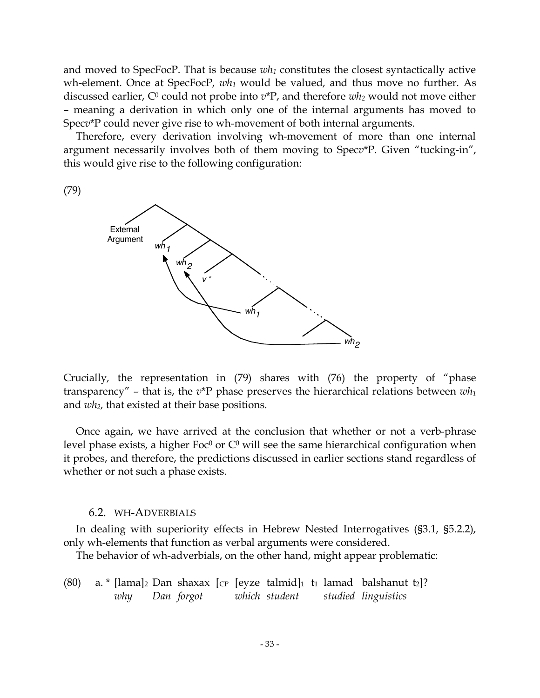and moved to SpecFocP. That is because  $wh_1$  constitutes the closest syntactically active wh-element. Once at SpecFocP, *wh1* would be valued, and thus move no further. As discussed earlier, C<sup>0</sup> could not probe into  $v^*P$ , and therefore  $wh_2$  would not move either – meaning a derivation in which only one of the internal arguments has moved to Spec*v*\*P could never give rise to wh-movement of both internal arguments.

Therefore, every derivation involving wh-movement of more than one internal argument necessarily involves both of them moving to Spec*v*\*P. Given "tucking-in", this would give rise to the following configuration:

(79)



Crucially, the representation in (79) shares with (76) the property of "phase transparency" – that is, the *v*\*P phase preserves the hierarchical relations between *wh1* and *wh2*, that existed at their base positions.

Once again, we have arrived at the conclusion that whether or not a verb-phrase level phase exists, a higher Foc<sup>0</sup> or  $C^0$  will see the same hierarchical configuration when it probes, and therefore, the predictions discussed in earlier sections stand regardless of whether or not such a phase exists.

#### 6.2. WH-ADVERBIALS

In dealing with superiority effects in Hebrew Nested Interrogatives (§3.1, §5.2.2), only wh-elements that function as verbal arguments were considered.

The behavior of wh-adverbials, on the other hand, might appear problematic:

(80) a. \* [lama]<sub>2</sub> Dan shaxax [cp [eyze talmid]<sub>1</sub> t<sub>1</sub> lamad balshanut t<sub>2</sub>]? *why Dan forgot which student studied linguistics*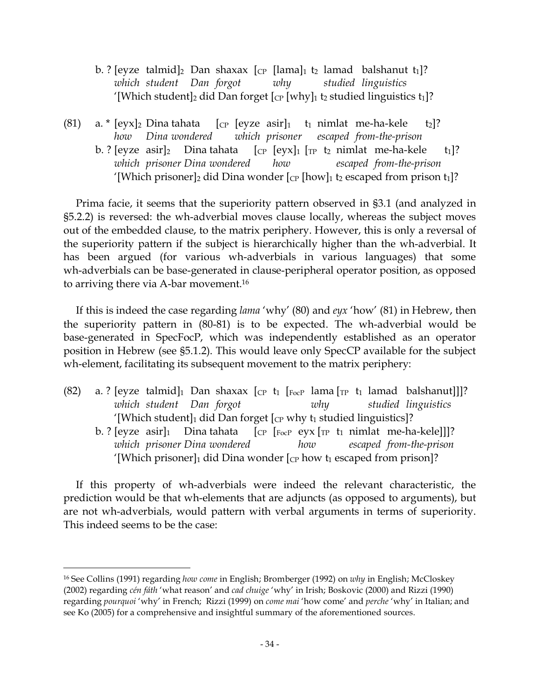- b. ? [eyze talmid]<sub>2</sub> Dan shaxax [cp [lama]<sub>1</sub> t<sub>2</sub> lamad balshanut t<sub>1</sub>]? *which student Dan forgot why studied linguistics* '[Which student]<sub>2</sub> did Dan forget [cp [why]<sub>1</sub> t<sub>2</sub> studied linguistics t<sub>1</sub>]?
- (81) a. \*  $[eyx]_2$  Dina tahata  $[eyx]_2$  [eyze asir]<sub>1</sub> t<sub>1</sub> nimlat me-ha-kele t<sub>2</sub>]? *how Dina wondered which prisoner escaped from-the-prison* b. ? [eyze asir]<sub>2</sub> Dina tahata  $[\text{CP}$  [eyx]<sub>1</sub>  $[\text{TP}$  t<sub>2</sub> nimlat me-ha-kele t<sub>1</sub>]? *which prisoner Dina wondered how escaped from-the-prison* '[Which prisoner]<sub>2</sub> did Dina wonder  $[$ <sub>CP</sub> [how]<sub>1</sub> t<sub>2</sub> escaped from prison t<sub>1</sub>]?

Prima facie, it seems that the superiority pattern observed in §3.1 (and analyzed in §5.2.2) is reversed: the wh-adverbial moves clause locally, whereas the subject moves out of the embedded clause, to the matrix periphery. However, this is only a reversal of the superiority pattern if the subject is hierarchically higher than the wh-adverbial. It has been argued (for various wh-adverbials in various languages) that some wh-adverbials can be base-generated in clause-peripheral operator position, as opposed to arriving there via A-bar movement. 16

If this is indeed the case regarding *lama* 'why' (80) and *eyx* 'how' (81) in Hebrew, then the superiority pattern in (80-81) is to be expected. The wh-adverbial would be base-generated in SpecFocP, which was independently established as an operator position in Hebrew (see §5.1.2). This would leave only SpecCP available for the subject wh-element, facilitating its subsequent movement to the matrix periphery:

- (82) a. ? [eyze talmid]<sup>1</sup> Dan shaxax [cp t<sub>1</sub> [FocP lama [TP t<sub>1</sub> lamad balshanut]]]? *which student Dan forgot why studied linguistics* '[Which student] $_1$  did Dan forget  $[$ ce why t<sub>1</sub> studied linguistics]?
	- b. ? [eyze asir]<sup>1</sup> Dina tahata  $\int_{CP}$   $\int_{FocP}$  eyx  $\int_{TP}$  t<sub>1</sub> nimlat me-ha-kele]]]? *which prisoner Dina wondered how escaped from-the-prison* '[Which prisoner]<sub>1</sub> did Dina wonder  $[\text{CP}$  how t<sub>1</sub> escaped from prison]?

If this property of wh-adverbials were indeed the relevant characteristic, the prediction would be that wh-elements that are adjuncts (as opposed to arguments), but are not wh-adverbials, would pattern with verbal arguments in terms of superiority. This indeed seems to be the case:

 <sup>16</sup> See Collins (1991) regarding *how come* in English; Bromberger (1992) on *why* in English; McCloskey (2002) regarding *cén fáth* 'what reason' and *cad chuige* 'why' in Irish; Boskovic (2000) and Rizzi (1990) regarding *pourquoi* 'why' in French; Rizzi (1999) on *come mai* 'how come' and *perche* 'why' in Italian; and see Ko (2005) for a comprehensive and insightful summary of the aforementioned sources.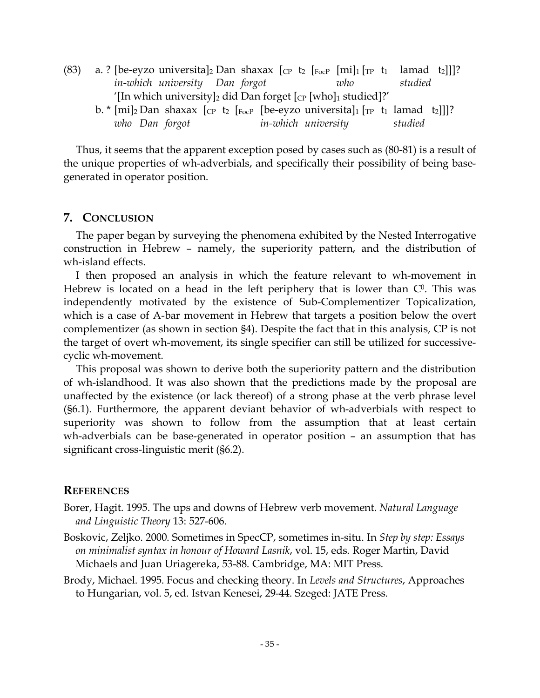- (83) a. ? [be-eyzo universita]<sub>2</sub> Dan shaxax [cp t<sub>2</sub> [Focp [mi]<sub>1</sub> [Tp t<sub>1</sub> lamad t<sub>2</sub>]]]? *in-which university Dan forgot who studied* '[In which university]<sub>2</sub> did Dan forget  $[CP]$  [who]1 studied]?'
	- b. \* [mi]<sub>2</sub> Dan shaxax [cp t<sub>2</sub> [F<sub>ocP</sub> [be-eyzo universita]<sub>1</sub> [<sub>TP</sub> t<sub>1</sub> lamad t<sub>2</sub>]]]? *who Dan forgot in-which university studied*

Thus, it seems that the apparent exception posed by cases such as (80-81) is a result of the unique properties of wh-adverbials, and specifically their possibility of being basegenerated in operator position.

### **7. CONCLUSION**

The paper began by surveying the phenomena exhibited by the Nested Interrogative construction in Hebrew – namely, the superiority pattern, and the distribution of wh-island effects.

I then proposed an analysis in which the feature relevant to wh-movement in Hebrew is located on a head in the left periphery that is lower than  $C<sup>0</sup>$ . This was independently motivated by the existence of Sub-Complementizer Topicalization, which is a case of A-bar movement in Hebrew that targets a position below the overt complementizer (as shown in section §4). Despite the fact that in this analysis, CP is not the target of overt wh-movement, its single specifier can still be utilized for successivecyclic wh-movement.

This proposal was shown to derive both the superiority pattern and the distribution of wh-islandhood. It was also shown that the predictions made by the proposal are unaffected by the existence (or lack thereof) of a strong phase at the verb phrase level (§6.1). Furthermore, the apparent deviant behavior of wh-adverbials with respect to superiority was shown to follow from the assumption that at least certain wh-adverbials can be base-generated in operator position – an assumption that has significant cross-linguistic merit (§6.2).

# **REFERENCES**

- Borer, Hagit. 1995. The ups and downs of Hebrew verb movement. *Natural Language and Linguistic Theory* 13: 527-606.
- Boskovic, Zeljko. 2000. Sometimes in SpecCP, sometimes in-situ. In *Step by step: Essays on minimalist syntax in honour of Howard Lasnik*, vol. 15, eds. Roger Martin, David Michaels and Juan Uriagereka, 53-88. Cambridge, MA: MIT Press.
- Brody, Michael. 1995. Focus and checking theory. In *Levels and Structures*, Approaches to Hungarian, vol. 5, ed. Istvan Kenesei, 29-44. Szeged: JATE Press.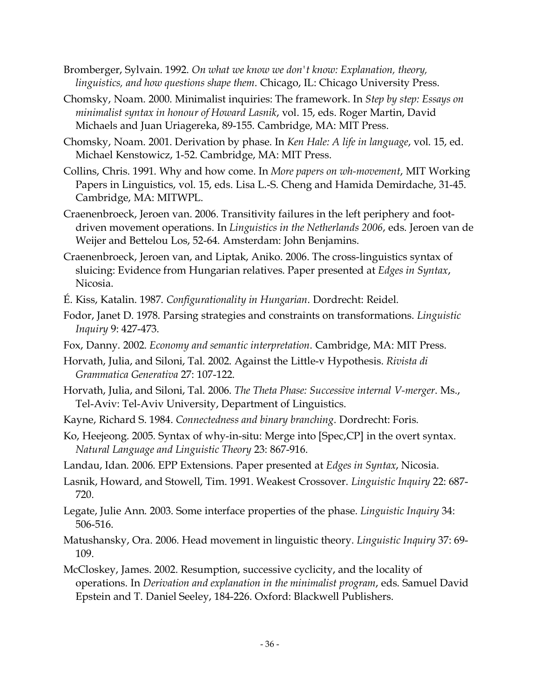- Bromberger, Sylvain. 1992. *On what we know we don't know: Explanation, theory, linguistics, and how questions shape them*. Chicago, IL: Chicago University Press.
- Chomsky, Noam. 2000. Minimalist inquiries: The framework. In *Step by step: Essays on minimalist syntax in honour of Howard Lasnik*, vol. 15, eds. Roger Martin, David Michaels and Juan Uriagereka, 89-155. Cambridge, MA: MIT Press.
- Chomsky, Noam. 2001. Derivation by phase. In *Ken Hale: A life in language*, vol. 15, ed. Michael Kenstowicz, 1-52. Cambridge, MA: MIT Press.
- Collins, Chris. 1991. Why and how come. In *More papers on wh-movement*, MIT Working Papers in Linguistics, vol. 15, eds. Lisa L.-S. Cheng and Hamida Demirdache, 31-45. Cambridge, MA: MITWPL.
- Craenenbroeck, Jeroen van. 2006. Transitivity failures in the left periphery and footdriven movement operations. In *Linguistics in the Netherlands 2006*, eds. Jeroen van de Weijer and Bettelou Los, 52-64. Amsterdam: John Benjamins.
- Craenenbroeck, Jeroen van, and Liptak, Aniko. 2006. The cross-linguistics syntax of sluicing: Evidence from Hungarian relatives. Paper presented at *Edges in Syntax*, Nicosia.
- É. Kiss, Katalin. 1987. *Configurationality in Hungarian*. Dordrecht: Reidel.
- Fodor, Janet D. 1978. Parsing strategies and constraints on transformations. *Linguistic Inquiry* 9: 427-473.
- Fox, Danny. 2002. *Economy and semantic interpretation*. Cambridge, MA: MIT Press.
- Horvath, Julia, and Siloni, Tal. 2002. Against the Little-v Hypothesis. *Rivista di Grammatica Generativa* 27: 107-122.
- Horvath, Julia, and Siloni, Tal. 2006. *The Theta Phase: Successive internal V-merger*. Ms., Tel-Aviv: Tel-Aviv University, Department of Linguistics.
- Kayne, Richard S. 1984. *Connectedness and binary branching*. Dordrecht: Foris.
- Ko, Heejeong. 2005. Syntax of why-in-situ: Merge into [Spec,CP] in the overt syntax. *Natural Language and Linguistic Theory* 23: 867-916.
- Landau, Idan. 2006. EPP Extensions. Paper presented at *Edges in Syntax*, Nicosia.
- Lasnik, Howard, and Stowell, Tim. 1991. Weakest Crossover. *Linguistic Inquiry* 22: 687- 720.
- Legate, Julie Ann. 2003. Some interface properties of the phase. *Linguistic Inquiry* 34: 506-516.
- Matushansky, Ora. 2006. Head movement in linguistic theory. *Linguistic Inquiry* 37: 69- 109.
- McCloskey, James. 2002. Resumption, successive cyclicity, and the locality of operations. In *Derivation and explanation in the minimalist program*, eds. Samuel David Epstein and T. Daniel Seeley, 184-226. Oxford: Blackwell Publishers.